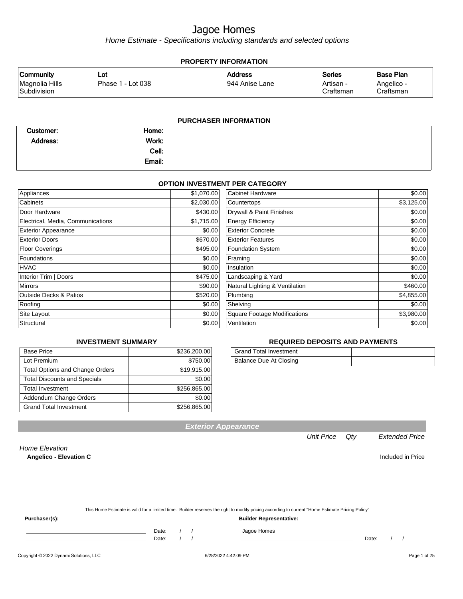Home Estimate - Specifications including standards and selected options

| <b>PROPERTY INFORMATION</b>                       |                          |                                  |                                         |                                             |  |
|---------------------------------------------------|--------------------------|----------------------------------|-----------------------------------------|---------------------------------------------|--|
| <b>Community</b><br>Magnolia Hills<br>Subdivision | Lot<br>Phase 1 - Lot 038 | <b>Address</b><br>944 Anise Lane | <b>Series</b><br>Artisan -<br>Craftsman | <b>Base Plan</b><br>Angelico -<br>Craftsman |  |
|                                                   |                          | <b>PURCHASER INFORMATION</b>     |                                         |                                             |  |

| Customer:       | Home:  |  |
|-----------------|--------|--|
| <b>Address:</b> | Work:  |  |
|                 | Cell:  |  |
|                 | Email: |  |

#### **OPTION INVESTMENT PER CATEGORY**

| Appliances                        | \$1,070.00 | <b>Cabinet Hardware</b>             | \$0.00     |
|-----------------------------------|------------|-------------------------------------|------------|
| Cabinets                          | \$2,030.00 | Countertops                         | \$3,125.00 |
| Door Hardware                     | \$430.00   | Drywall & Paint Finishes            | \$0.00     |
| Electrical, Media, Communications | \$1,715.00 | <b>Energy Efficiency</b>            | \$0.00     |
| <b>Exterior Appearance</b>        | \$0.00     | <b>Exterior Concrete</b>            | \$0.00     |
| <b>Exterior Doors</b>             | \$670.00   | <b>Exterior Features</b>            | \$0.00     |
| <b>Floor Coverings</b>            | \$495.00   | <b>Foundation System</b>            | \$0.00     |
| Foundations                       | \$0.00     | Framing                             | \$0.00     |
| <b>HVAC</b>                       | \$0.00     | Insulation                          | \$0.00     |
| Interior Trim   Doors             | \$475.00   | Landscaping & Yard                  | \$0.00     |
| <b>Mirrors</b>                    | \$90.00    | Natural Lighting & Ventilation      | \$460.00   |
| <b>Outside Decks &amp; Patios</b> | \$520.00   | Plumbing                            | \$4,855.00 |
| Roofing                           | \$0.00     | Shelving                            | \$0.00     |
| Site Layout                       | \$0.00     | <b>Square Footage Modifications</b> | \$3,980.00 |
| Structural                        | \$0.00     | Ventilation                         | \$0.00     |
|                                   |            |                                     |            |

#### **INVESTMENT SUMMARY**

| <b>Base Price</b>                      | \$236,200.00 |
|----------------------------------------|--------------|
| Lot Premium                            | \$750.00     |
| <b>Total Options and Change Orders</b> | \$19,915.00  |
| <b>Total Discounts and Specials</b>    | \$0.00       |
| <b>Total Investment</b>                | \$256,865.00 |
| Addendum Change Orders                 | \$0.00       |
| <b>Grand Total Investment</b>          | \$256,865.00 |

#### **REQUIRED DEPOSITS AND PAYMENTS**

| <b>Grand Total Investment</b> |  |
|-------------------------------|--|
| Balance Due At Closing        |  |

**Exterior Appearance**

#### Unit Price Qty Extended Price

Home Elevation **Angelico - Elevation C Included in Price** 

| This Home Estimate is valid for a limited time. Builder reserves the right to modify pricing according to current "Home Estimate Pricing Policy" |  |
|--------------------------------------------------------------------------------------------------------------------------------------------------|--|

**Purchaser(s): Builder Representative:**

Date: / / Jagoe Homes<br>Date: / / Jagoe Homes

Date: / / Date: / /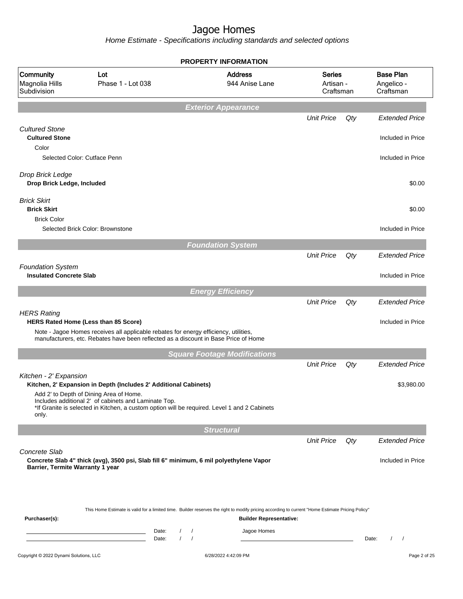|                                                            |                                                                                                                                                                                                                     | <b>PROPERTY INFORMATION</b>         |                                         |     |                                             |  |
|------------------------------------------------------------|---------------------------------------------------------------------------------------------------------------------------------------------------------------------------------------------------------------------|-------------------------------------|-----------------------------------------|-----|---------------------------------------------|--|
| Community<br>Magnolia Hills<br>Subdivision                 | Lot<br>Phase 1 - Lot 038                                                                                                                                                                                            | <b>Address</b><br>944 Anise Lane    | <b>Series</b><br>Artisan -<br>Craftsman |     | <b>Base Plan</b><br>Angelico -<br>Craftsman |  |
|                                                            |                                                                                                                                                                                                                     | <b>Exterior Appearance</b>          |                                         |     |                                             |  |
|                                                            |                                                                                                                                                                                                                     |                                     | <b>Unit Price</b>                       | Qty | <b>Extended Price</b>                       |  |
| <b>Cultured Stone</b><br><b>Cultured Stone</b>             |                                                                                                                                                                                                                     |                                     |                                         |     | Included in Price                           |  |
| Color<br>Selected Color: Cutface Penn                      |                                                                                                                                                                                                                     |                                     |                                         |     | Included in Price                           |  |
| Drop Brick Ledge<br>Drop Brick Ledge, Included             |                                                                                                                                                                                                                     |                                     |                                         |     | \$0.00                                      |  |
| <b>Brick Skirt</b><br><b>Brick Skirt</b>                   |                                                                                                                                                                                                                     |                                     |                                         |     | \$0.00                                      |  |
| <b>Brick Color</b>                                         | Selected Brick Color: Brownstone                                                                                                                                                                                    |                                     |                                         |     | Included in Price                           |  |
|                                                            |                                                                                                                                                                                                                     | <b>Foundation System</b>            |                                         |     |                                             |  |
|                                                            |                                                                                                                                                                                                                     |                                     | <b>Unit Price</b>                       | Qty | <b>Extended Price</b>                       |  |
| <b>Foundation System</b><br><b>Insulated Concrete Slab</b> |                                                                                                                                                                                                                     |                                     |                                         |     | Included in Price                           |  |
|                                                            |                                                                                                                                                                                                                     | <b>Energy Efficiency</b>            |                                         |     |                                             |  |
| <b>HERS Rating</b>                                         | HERS Rated Home (Less than 85 Score)<br>Note - Jagoe Homes receives all applicable rebates for energy efficiency, utilities,<br>manufacturers, etc. Rebates have been reflected as a discount in Base Price of Home |                                     | <b>Unit Price</b>                       | Qty | <b>Extended Price</b><br>Included in Price  |  |
|                                                            |                                                                                                                                                                                                                     | <b>Square Footage Modifications</b> |                                         |     |                                             |  |
|                                                            |                                                                                                                                                                                                                     |                                     | <b>Unit Price</b>                       | Qty | <b>Extended Price</b>                       |  |
| Kitchen - 2' Expansion                                     | Kitchen, 2' Expansion in Depth (Includes 2' Additional Cabinets)                                                                                                                                                    |                                     |                                         |     | \$3,980.00                                  |  |
| only.                                                      | Add 2' to Depth of Dining Area of Home.<br>Includes additional 2' of cabinets and Laminate Top.<br>*If Granite is selected in Kitchen, a custom option will be required. Level 1 and 2 Cabinets                     |                                     |                                         |     |                                             |  |
|                                                            |                                                                                                                                                                                                                     | <b>Structural</b>                   |                                         |     |                                             |  |
| Concrete Slab                                              |                                                                                                                                                                                                                     |                                     | <b>Unit Price</b>                       | Qty | <b>Extended Price</b>                       |  |
| Barrier, Termite Warranty 1 year                           | Concrete Slab 4" thick (avg), 3500 psi, Slab fill 6" minimum, 6 mil polyethylene Vapor                                                                                                                              |                                     |                                         |     | Included in Price                           |  |
| Purchaser(s):                                              | This Home Estimate is valid for a limited time. Builder reserves the right to modify pricing according to current "Home Estimate Pricing Policy"                                                                    | <b>Builder Representative:</b>      |                                         |     |                                             |  |
|                                                            | Date:<br>$\sqrt{2}$<br>$\sqrt{ }$<br>Date:                                                                                                                                                                          | Jagoe Homes<br>$\prime$<br>$\prime$ |                                         |     | $\left  \right $<br>Date:                   |  |
| Copyright © 2022 Dynami Solutions, LLC                     |                                                                                                                                                                                                                     | 6/28/2022 4:42:09 PM                |                                         |     | Page 2 of 25                                |  |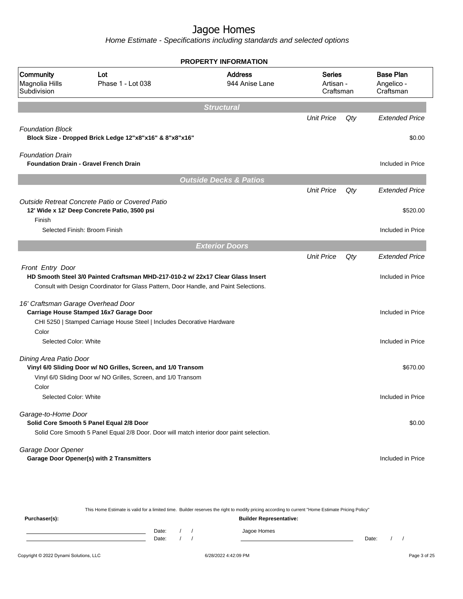Home Estimate - Specifications including standards and selected options

|                                            |                                                                                                                                                                          | <b>PROPERTY INFORMATION</b>       |                                         |     |                                             |
|--------------------------------------------|--------------------------------------------------------------------------------------------------------------------------------------------------------------------------|-----------------------------------|-----------------------------------------|-----|---------------------------------------------|
| Community<br>Magnolia Hills<br>Subdivision | Lot<br>Phase 1 - Lot 038                                                                                                                                                 | <b>Address</b><br>944 Anise Lane  | <b>Series</b><br>Artisan -<br>Craftsman |     | <b>Base Plan</b><br>Angelico -<br>Craftsman |
|                                            |                                                                                                                                                                          | <b>Structural</b>                 |                                         |     |                                             |
|                                            |                                                                                                                                                                          |                                   | <b>Unit Price</b>                       | Qty | <b>Extended Price</b>                       |
| <b>Foundation Block</b>                    | Block Size - Dropped Brick Ledge 12"x8"x16" & 8"x8"x16"                                                                                                                  |                                   |                                         |     | \$0.00                                      |
| <b>Foundation Drain</b>                    | <b>Foundation Drain - Gravel French Drain</b>                                                                                                                            |                                   |                                         |     | Included in Price                           |
|                                            |                                                                                                                                                                          | <b>Outside Decks &amp; Patios</b> |                                         |     |                                             |
|                                            |                                                                                                                                                                          |                                   | <b>Unit Price</b>                       | Qty | <b>Extended Price</b>                       |
|                                            | Outside Retreat Concrete Patio or Covered Patio<br>12' Wide x 12' Deep Concrete Patio, 3500 psi                                                                          |                                   |                                         |     | \$520.00                                    |
| Finish                                     | Selected Finish: Broom Finish                                                                                                                                            |                                   |                                         |     | Included in Price                           |
|                                            |                                                                                                                                                                          | <b>Exterior Doors</b>             |                                         |     |                                             |
|                                            |                                                                                                                                                                          |                                   | <b>Unit Price</b>                       | Qty | <b>Extended Price</b>                       |
| Front Entry Door                           | HD Smooth Steel 3/0 Painted Craftsman MHD-217-010-2 w/ 22x17 Clear Glass Insert<br>Consult with Design Coordinator for Glass Pattern, Door Handle, and Paint Selections. |                                   |                                         |     | Included in Price                           |
| 16' Craftsman Garage Overhead Door         | Carriage House Stamped 16x7 Garage Door<br>CHI 5250   Stamped Carriage House Steel   Includes Decorative Hardware                                                        |                                   |                                         |     | Included in Price                           |
| Color<br>Selected Color: White             |                                                                                                                                                                          |                                   |                                         |     | Included in Price                           |
| Dining Area Patio Door                     | Vinyl 6/0 Sliding Door w/ NO Grilles, Screen, and 1/0 Transom<br>Vinyl 6/0 Sliding Door w/ NO Grilles, Screen, and 1/0 Transom                                           |                                   |                                         |     | \$670.00                                    |
| Color                                      |                                                                                                                                                                          |                                   |                                         |     |                                             |
| Selected Color: White                      |                                                                                                                                                                          |                                   |                                         |     | Included in Price                           |
| Garage-to-Home Door                        | Solid Core Smooth 5 Panel Equal 2/8 Door<br>Solid Core Smooth 5 Panel Equal 2/8 Door. Door will match interior door paint selection.                                     |                                   |                                         |     | \$0.00                                      |
| Garage Door Opener                         | <b>Garage Door Opener(s) with 2 Transmitters</b>                                                                                                                         |                                   |                                         |     | Included in Price                           |

This Home Estimate is valid for a limited time. Builder reserves the right to modify pricing according to current "Home Estimate Pricing Policy" **Purchaser(s): Builder Representative:** Date: / / Jagoe Homes<br>Date: / / Jagoe Homes Date: / / **Date: / / 2006** Date: / / / Date: / / / Date: / / / 2006 Date: / / / 2006 Date: / / / 2006 Date: / / / 2006 Date: / / / 2007 Date: / / / 2007 Date: / / / 2007 Date: / / / 2007 Date: / / / 2007 Date: / / / 2007 D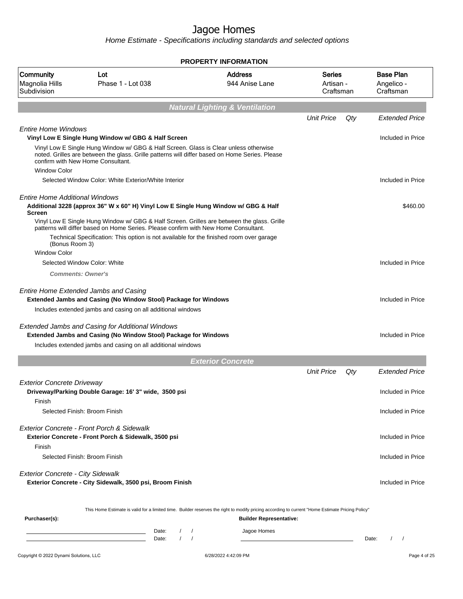|                                                        |                                                                                                                                                                                                                                                                              | <b>PROPERTY INFORMATION</b>               |                                         |     |                                             |
|--------------------------------------------------------|------------------------------------------------------------------------------------------------------------------------------------------------------------------------------------------------------------------------------------------------------------------------------|-------------------------------------------|-----------------------------------------|-----|---------------------------------------------|
| Community<br>Magnolia Hills<br>Subdivision             | Lot<br>Phase 1 - Lot 038                                                                                                                                                                                                                                                     | <b>Address</b><br>944 Anise Lane          | <b>Series</b><br>Artisan -<br>Craftsman |     | <b>Base Plan</b><br>Angelico -<br>Craftsman |
|                                                        |                                                                                                                                                                                                                                                                              | <b>Natural Lighting &amp; Ventilation</b> |                                         |     |                                             |
|                                                        |                                                                                                                                                                                                                                                                              |                                           | <b>Unit Price</b>                       | Qty | <b>Extended Price</b>                       |
| <b>Entire Home Windows</b>                             | Vinyl Low E Single Hung Window w/ GBG & Half Screen                                                                                                                                                                                                                          |                                           |                                         |     | Included in Price                           |
| <b>Window Color</b>                                    | Vinyl Low E Single Hung Window w/ GBG & Half Screen. Glass is Clear unless otherwise<br>noted. Grilles are between the glass. Grille patterns will differ based on Home Series. Please<br>confirm with New Home Consultant.                                                  |                                           |                                         |     |                                             |
|                                                        | Selected Window Color: White Exterior/White Interior                                                                                                                                                                                                                         |                                           |                                         |     | Included in Price                           |
| <b>Entire Home Additional Windows</b><br><b>Screen</b> | Additional 3228 (approx 36" W x 60" H) Vinyl Low E Single Hung Window w/ GBG & Half                                                                                                                                                                                          |                                           |                                         |     | \$460.00                                    |
| (Bonus Room 3)                                         | Vinyl Low E Single Hung Window w/ GBG & Half Screen. Grilles are between the glass. Grille<br>patterns will differ based on Home Series. Please confirm with New Home Consultant.<br>Technical Specification: This option is not available for the finished room over garage |                                           |                                         |     |                                             |
| <b>Window Color</b>                                    |                                                                                                                                                                                                                                                                              |                                           |                                         |     |                                             |
|                                                        | Selected Window Color: White                                                                                                                                                                                                                                                 |                                           |                                         |     | Included in Price                           |
| <b>Comments: Owner's</b>                               |                                                                                                                                                                                                                                                                              |                                           |                                         |     |                                             |
|                                                        | <b>Entire Home Extended Jambs and Casing</b><br><b>Extended Jambs and Casing (No Window Stool) Package for Windows</b><br>Includes extended jambs and casing on all additional windows                                                                                       |                                           |                                         |     | Included in Price                           |
|                                                        | <b>Extended Jambs and Casing for Additional Windows</b><br><b>Extended Jambs and Casing (No Window Stool) Package for Windows</b><br>Includes extended jambs and casing on all additional windows                                                                            |                                           |                                         |     | Included in Price                           |
|                                                        |                                                                                                                                                                                                                                                                              | <b>Exterior Concrete</b>                  |                                         |     |                                             |
|                                                        |                                                                                                                                                                                                                                                                              |                                           | <b>Unit Price</b>                       | Qty | <b>Extended Price</b>                       |
| <b>Exterior Concrete Driveway</b>                      | Driveway/Parking Double Garage: 16' 3" wide, 3500 psi                                                                                                                                                                                                                        |                                           |                                         |     | Included in Price                           |
| Finish                                                 | Selected Finish: Broom Finish                                                                                                                                                                                                                                                |                                           |                                         |     | Included in Price                           |
| Finish                                                 | Exterior Concrete - Front Porch & Sidewalk<br>Exterior Concrete - Front Porch & Sidewalk, 3500 psi                                                                                                                                                                           |                                           |                                         |     | Included in Price                           |
|                                                        | Selected Finish: Broom Finish                                                                                                                                                                                                                                                |                                           |                                         |     | Included in Price                           |
| <b>Exterior Concrete - City Sidewalk</b>               | Exterior Concrete - City Sidewalk, 3500 psi, Broom Finish                                                                                                                                                                                                                    |                                           |                                         |     | Included in Price                           |
| Purchaser(s):                                          | This Home Estimate is valid for a limited time. Builder reserves the right to modify pricing according to current "Home Estimate Pricing Policy"                                                                                                                             | <b>Builder Representative:</b>            |                                         |     |                                             |
|                                                        | Date:<br><u> 1989 - Johann Barn, mars eta inperiodo</u><br>$\prime$<br>Date:                                                                                                                                                                                                 | Jagoe Homes<br>$\prime$<br>$\prime$       |                                         |     | Date:                                       |
| Copyright © 2022 Dynami Solutions, LLC                 |                                                                                                                                                                                                                                                                              | 6/28/2022 4:42:09 PM                      |                                         |     | Page 4 of 25                                |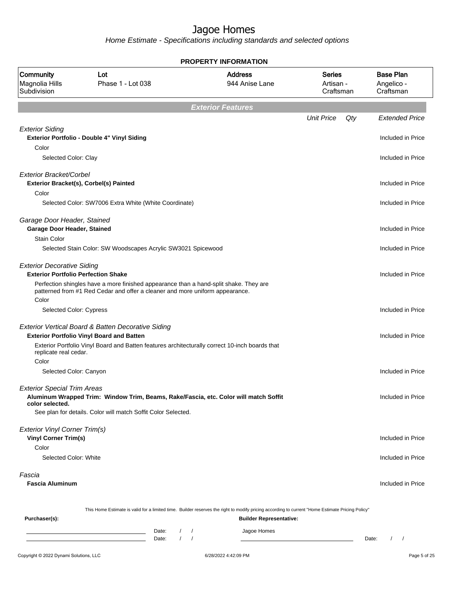|                                                                                 |                                                                                                                                                                       | <b>PROPERTY INFORMATION</b>                                                                                                                                                        |                                         |                                             |
|---------------------------------------------------------------------------------|-----------------------------------------------------------------------------------------------------------------------------------------------------------------------|------------------------------------------------------------------------------------------------------------------------------------------------------------------------------------|-----------------------------------------|---------------------------------------------|
| Community<br>Magnolia Hills<br>Subdivision                                      | Lot<br>Phase 1 - Lot 038                                                                                                                                              | <b>Address</b><br>944 Anise Lane                                                                                                                                                   | <b>Series</b><br>Artisan -<br>Craftsman | <b>Base Plan</b><br>Angelico -<br>Craftsman |
|                                                                                 |                                                                                                                                                                       | <b>Exterior Features</b>                                                                                                                                                           |                                         |                                             |
|                                                                                 |                                                                                                                                                                       |                                                                                                                                                                                    | <b>Unit Price</b><br>Qty                | <b>Extended Price</b>                       |
| <b>Exterior Siding</b><br>Color                                                 | Exterior Portfolio - Double 4" Vinyl Siding                                                                                                                           |                                                                                                                                                                                    |                                         | Included in Price                           |
| Selected Color: Clay                                                            |                                                                                                                                                                       |                                                                                                                                                                                    |                                         | Included in Price                           |
| Exterior Bracket/Corbel                                                         | Exterior Bracket(s), Corbel(s) Painted                                                                                                                                |                                                                                                                                                                                    |                                         | Included in Price                           |
| Color                                                                           | Selected Color: SW7006 Extra White (White Coordinate)                                                                                                                 |                                                                                                                                                                                    |                                         | Included in Price                           |
| Garage Door Header, Stained<br><b>Garage Door Header, Stained</b>               |                                                                                                                                                                       |                                                                                                                                                                                    |                                         | Included in Price                           |
| Stain Color                                                                     | Selected Stain Color: SW Woodscapes Acrylic SW3021 Spicewood                                                                                                          |                                                                                                                                                                                    |                                         | Included in Price                           |
| <b>Exterior Decorative Siding</b><br><b>Exterior Portfolio Perfection Shake</b> |                                                                                                                                                                       |                                                                                                                                                                                    |                                         | Included in Price                           |
|                                                                                 | Perfection shingles have a more finished appearance than a hand-split shake. They are<br>patterned from #1 Red Cedar and offer a cleaner and more uniform appearance. |                                                                                                                                                                                    |                                         |                                             |
| Color<br>Selected Color: Cypress                                                |                                                                                                                                                                       |                                                                                                                                                                                    |                                         | Included in Price                           |
|                                                                                 | Exterior Vertical Board & Batten Decorative Siding<br><b>Exterior Portfolio Vinyl Board and Batten</b>                                                                |                                                                                                                                                                                    |                                         | Included in Price                           |
| replicate real cedar.<br>Color                                                  | Exterior Portfolio Vinyl Board and Batten features architecturally correct 10-inch boards that                                                                        |                                                                                                                                                                                    |                                         |                                             |
| Selected Color: Canyon                                                          |                                                                                                                                                                       |                                                                                                                                                                                    |                                         | Included in Price                           |
| <b>Exterior Special Trim Areas</b><br>color selected.                           | Aluminum Wrapped Trim: Window Trim, Beams, Rake/Fascia, etc. Color will match Soffit                                                                                  |                                                                                                                                                                                    |                                         | Included in Price                           |
|                                                                                 | See plan for details. Color will match Soffit Color Selected.                                                                                                         |                                                                                                                                                                                    |                                         |                                             |
| Exterior Vinyl Corner Trim(s)<br><b>Vinyl Corner Trim(s)</b>                    |                                                                                                                                                                       |                                                                                                                                                                                    |                                         | Included in Price                           |
| Color<br>Selected Color: White                                                  |                                                                                                                                                                       |                                                                                                                                                                                    |                                         | Included in Price                           |
| Fascia<br><b>Fascia Aluminum</b>                                                |                                                                                                                                                                       |                                                                                                                                                                                    |                                         | Included in Price                           |
| Purchaser(s):                                                                   |                                                                                                                                                                       | This Home Estimate is valid for a limited time. Builder reserves the right to modify pricing according to current "Home Estimate Pricing Policy"<br><b>Builder Representative:</b> |                                         |                                             |
|                                                                                 | Date:<br>$\sqrt{2}$<br><u> 1989 - Johann Barn, mars ann an t-Amhair ann an t-A</u><br>$\sqrt{ }$<br>Date:                                                             | Jagoe Homes<br>$\prime$<br>$\sqrt{ }$                                                                                                                                              |                                         | Date:<br>$\prime$<br>$\sqrt{ }$             |
| Copyright © 2022 Dynami Solutions, LLC                                          |                                                                                                                                                                       | 6/28/2022 4:42:09 PM                                                                                                                                                               |                                         | Page 5 of 25                                |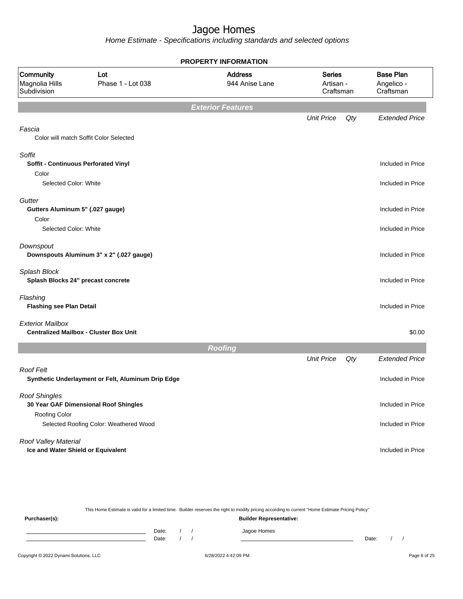Home Estimate - Specifications including standards and selected options

|                                                            | <b>PROPERTY INFORMATION</b>                        |                                  |                                         |     |                                             |  |  |
|------------------------------------------------------------|----------------------------------------------------|----------------------------------|-----------------------------------------|-----|---------------------------------------------|--|--|
| Community<br>Magnolia Hills<br>Subdivision                 | Lot<br>Phase 1 - Lot 038                           | <b>Address</b><br>944 Anise Lane | <b>Series</b><br>Artisan -<br>Craftsman |     | <b>Base Plan</b><br>Angelico -<br>Craftsman |  |  |
|                                                            |                                                    | <b>Exterior Features</b>         |                                         |     |                                             |  |  |
|                                                            |                                                    |                                  | <b>Unit Price</b>                       | Qty | <b>Extended Price</b>                       |  |  |
| Fascia                                                     | Color will match Soffit Color Selected             |                                  |                                         |     |                                             |  |  |
| Soffit<br><b>Soffit - Continuous Perforated Vinyl</b>      |                                                    |                                  |                                         |     | Included in Price                           |  |  |
| Color<br>Selected Color: White                             |                                                    |                                  |                                         |     | Included in Price                           |  |  |
| Gutter<br>Gutters Aluminum 5" (.027 gauge)                 |                                                    |                                  |                                         |     | Included in Price                           |  |  |
| Color<br>Selected Color: White                             |                                                    |                                  |                                         |     | Included in Price                           |  |  |
| Downspout                                                  | Downspouts Aluminum 3" x 2" (.027 gauge)           |                                  |                                         |     | Included in Price                           |  |  |
| Splash Block<br>Splash Blocks 24" precast concrete         |                                                    |                                  |                                         |     | Included in Price                           |  |  |
| Flashing<br><b>Flashing see Plan Detail</b>                |                                                    |                                  |                                         |     | Included in Price                           |  |  |
| <b>Exterior Mailbox</b>                                    | <b>Centralized Mailbox - Cluster Box Unit</b>      |                                  |                                         |     | \$0.00                                      |  |  |
|                                                            |                                                    | <b>Roofing</b>                   |                                         |     |                                             |  |  |
|                                                            |                                                    |                                  | <b>Unit Price</b>                       | Qty | <b>Extended Price</b>                       |  |  |
| <b>Roof Felt</b>                                           | Synthetic Underlayment or Felt, Aluminum Drip Edge |                                  |                                         |     | Included in Price                           |  |  |
| <b>Roof Shingles</b><br>Roofing Color                      | 30 Year GAF Dimensional Roof Shingles              |                                  |                                         |     | Included in Price                           |  |  |
|                                                            | Selected Roofing Color: Weathered Wood             |                                  |                                         |     | Included in Price                           |  |  |
| Roof Valley Material<br>Ice and Water Shield or Equivalent |                                                    |                                  |                                         |     | Included in Price                           |  |  |

This Home Estimate is valid for a limited time. Builder reserves the right to modify pricing according to current "Home Estimate Pricing Policy" **Purchaser(s): Builder Representative:** Date: / / Jagoe Homes<br>Date: / / Jagoe Homes Date: / / Date: / /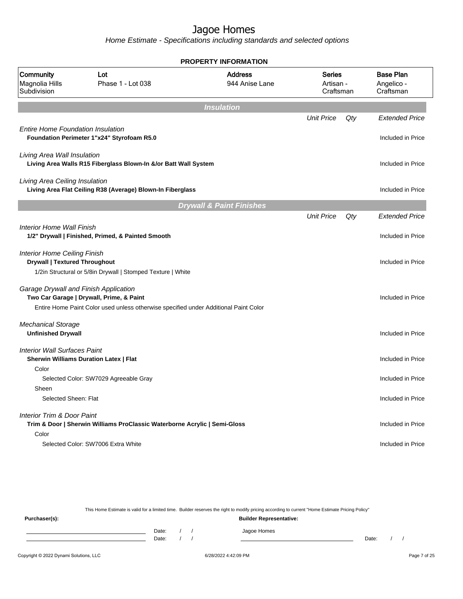Home Estimate - Specifications including standards and selected options

| <b>PROPERTY INFORMATION</b>                                                                   |                                                                                      |                                     |                                         |     |                                             |
|-----------------------------------------------------------------------------------------------|--------------------------------------------------------------------------------------|-------------------------------------|-----------------------------------------|-----|---------------------------------------------|
| Community<br>Magnolia Hills<br>Subdivision                                                    | Lot<br>Phase 1 - Lot 038                                                             | <b>Address</b><br>944 Anise Lane    | <b>Series</b><br>Artisan -<br>Craftsman |     | <b>Base Plan</b><br>Angelico -<br>Craftsman |
|                                                                                               |                                                                                      | <b>Insulation</b>                   |                                         |     |                                             |
| <b>Entire Home Foundation Insulation</b><br>Foundation Perimeter 1"x24" Styrofoam R5.0        |                                                                                      |                                     | <b>Unit Price</b>                       | Qty | <b>Extended Price</b><br>Included in Price  |
| Living Area Wall Insulation                                                                   | Living Area Walls R15 Fiberglass Blown-In &/or Batt Wall System                      |                                     |                                         |     | Included in Price                           |
| Living Area Ceiling Insulation                                                                | Living Area Flat Ceiling R38 (Average) Blown-In Fiberglass                           |                                     |                                         |     | Included in Price                           |
|                                                                                               |                                                                                      | <b>Drywall &amp; Paint Finishes</b> |                                         |     |                                             |
|                                                                                               |                                                                                      |                                     | <b>Unit Price</b>                       | Qty | <b>Extended Price</b>                       |
| <b>Interior Home Wall Finish</b><br>1/2" Drywall   Finished, Primed, & Painted Smooth         |                                                                                      |                                     |                                         |     | Included in Price                           |
| <b>Interior Home Ceiling Finish</b><br><b>Drywall   Textured Throughout</b>                   | 1/2in Structural or 5/8in Drywall   Stomped Texture   White                          |                                     |                                         |     | Included in Price                           |
| Garage Drywall and Finish Application<br>Two Car Garage   Drywall, Prime, & Paint             | Entire Home Paint Color used unless otherwise specified under Additional Paint Color |                                     |                                         |     | Included in Price                           |
| <b>Mechanical Storage</b><br><b>Unfinished Drywall</b>                                        |                                                                                      |                                     |                                         |     | Included in Price                           |
| <b>Interior Wall Surfaces Paint</b><br><b>Sherwin Williams Duration Latex   Flat</b><br>Color |                                                                                      |                                     |                                         |     | Included in Price                           |
| Selected Color: SW7029 Agreeable Gray                                                         |                                                                                      |                                     |                                         |     | Included in Price                           |
| Sheen<br>Selected Sheen: Flat                                                                 |                                                                                      |                                     |                                         |     | Included in Price                           |
| Interior Trim & Door Paint                                                                    | Trim & Door   Sherwin Williams ProClassic Waterborne Acrylic   Semi-Gloss            |                                     |                                         |     | Included in Price                           |
| Color<br>Selected Color: SW7006 Extra White                                                   |                                                                                      |                                     |                                         |     | Included in Price                           |

This Home Estimate is valid for a limited time. Builder reserves the right to modify pricing according to current "Home Estimate Pricing Policy"

**Purchaser(s): Builder Representative:** Date: / / Jagoe Homes<br>Date: / / Jagoe Homes Date: / / **Date: / / 2006** Date: / / / Date: / / / Date: / / / 2006 Date: / / / 2006 Date: / / / 2006 Date: / / / 2006 Date: / / / 2007 Date: / / / 2007 Date: / / / 2007 Date: / / / 2007 Date: / / / 2007 Date: / / / 2007 D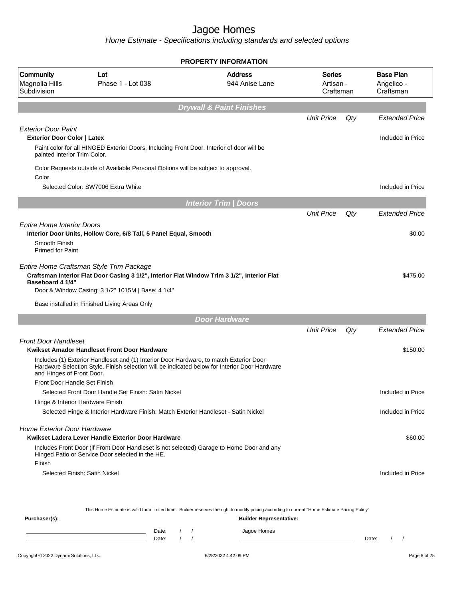Home Estimate - Specifications including standards and selected options

|                                                                                                  |                                                                                                                                                                                                                                              | <b>PROPERTY INFORMATION</b>                                                                                                                                                                       |                                  |     |                                             |
|--------------------------------------------------------------------------------------------------|----------------------------------------------------------------------------------------------------------------------------------------------------------------------------------------------------------------------------------------------|---------------------------------------------------------------------------------------------------------------------------------------------------------------------------------------------------|----------------------------------|-----|---------------------------------------------|
| Community<br>Magnolia Hills<br>Subdivision                                                       | Lot<br>Phase 1 - Lot 038                                                                                                                                                                                                                     | <b>Address</b><br>944 Anise Lane                                                                                                                                                                  | Series<br>Artisan -<br>Craftsman |     | <b>Base Plan</b><br>Angelico -<br>Craftsman |
|                                                                                                  |                                                                                                                                                                                                                                              | <b>Drywall &amp; Paint Finishes</b>                                                                                                                                                               |                                  |     |                                             |
|                                                                                                  |                                                                                                                                                                                                                                              |                                                                                                                                                                                                   | <b>Unit Price</b>                | Qty | <b>Extended Price</b>                       |
| <b>Exterior Door Paint</b><br><b>Exterior Door Color   Latex</b><br>painted Interior Trim Color. | Paint color for all HINGED Exterior Doors, Including Front Door. Interior of door will be                                                                                                                                                    |                                                                                                                                                                                                   |                                  |     | Included in Price                           |
| Color                                                                                            | Color Requests outside of Available Personal Options will be subject to approval.                                                                                                                                                            |                                                                                                                                                                                                   |                                  |     |                                             |
|                                                                                                  | Selected Color: SW7006 Extra White                                                                                                                                                                                                           |                                                                                                                                                                                                   |                                  |     | Included in Price                           |
|                                                                                                  |                                                                                                                                                                                                                                              | <b>Interior Trim / Doors</b>                                                                                                                                                                      |                                  |     |                                             |
|                                                                                                  |                                                                                                                                                                                                                                              |                                                                                                                                                                                                   | <b>Unit Price</b>                | Qty | <b>Extended Price</b>                       |
| <b>Entire Home Interior Doors</b><br>Smooth Finish<br><b>Primed for Paint</b>                    | Interior Door Units, Hollow Core, 6/8 Tall, 5 Panel Equal, Smooth                                                                                                                                                                            |                                                                                                                                                                                                   |                                  |     | \$0.00                                      |
| Baseboard 4 1/4"                                                                                 | Entire Home Craftsman Style Trim Package<br>Craftsman Interior Flat Door Casing 3 1/2", Interior Flat Window Trim 3 1/2", Interior Flat<br>Door & Window Casing: 3 1/2" 1015M   Base: 4 1/4"<br>Base installed in Finished Living Areas Only |                                                                                                                                                                                                   |                                  |     | \$475.00                                    |
|                                                                                                  |                                                                                                                                                                                                                                              |                                                                                                                                                                                                   |                                  |     |                                             |
|                                                                                                  |                                                                                                                                                                                                                                              | <b>Door Hardware</b>                                                                                                                                                                              |                                  |     |                                             |
|                                                                                                  |                                                                                                                                                                                                                                              |                                                                                                                                                                                                   | <b>Unit Price</b>                | Qty | <b>Extended Price</b>                       |
| <b>Front Door Handleset</b>                                                                      | Kwikset Amador Handleset Front Door Hardware                                                                                                                                                                                                 |                                                                                                                                                                                                   |                                  |     | \$150.00                                    |
| and Hinges of Front Door.                                                                        | Includes (1) Exterior Handleset and (1) Interior Door Hardware, to match Exterior Door<br>Hardware Selection Style. Finish selection will be indicated below for Interior Door Hardware                                                      |                                                                                                                                                                                                   |                                  |     |                                             |
| Front Door Handle Set Finish                                                                     | Selected Front Door Handle Set Finish: Satin Nickel                                                                                                                                                                                          |                                                                                                                                                                                                   |                                  |     | Included in Price                           |
| Hinge & Interior Hardware Finish                                                                 |                                                                                                                                                                                                                                              |                                                                                                                                                                                                   |                                  |     |                                             |
|                                                                                                  | Selected Hinge & Interior Hardware Finish: Match Exterior Handleset - Satin Nickel                                                                                                                                                           |                                                                                                                                                                                                   |                                  |     | Included in Price                           |
| <b>Home Exterior Door Hardware</b>                                                               | Kwikset Ladera Lever Handle Exterior Door Hardware<br>Includes Front Door (if Front Door Handleset is not selected) Garage to Home Door and any                                                                                              |                                                                                                                                                                                                   |                                  |     | \$60.00                                     |
| Finish<br>Selected Finish: Satin Nickel                                                          | Hinged Patio or Service Door selected in the HE.                                                                                                                                                                                             |                                                                                                                                                                                                   |                                  |     | Included in Price                           |
| Purchaser(s):                                                                                    | D <sub>0</sub>                                                                                                                                                                                                                               | This Home Estimate is valid for a limited time. Builder reserves the right to modify pricing according to current "Home Estimate Pricing Policy"<br><b>Builder Representative:</b><br>logon Homon |                                  |     |                                             |

Date: / / Jagoe Homes<br>Date: / / Jagoe Homes Date: / / Date: / /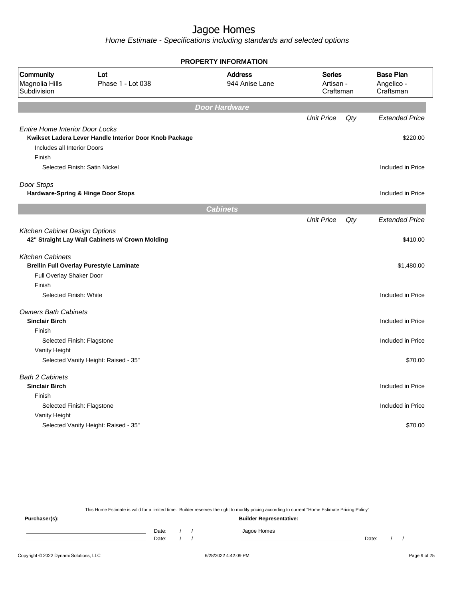Home Estimate - Specifications including standards and selected options

| <b>PROPERTY INFORMATION</b>                                                     |                                                        |                                  |                                         |     |                                             |  |
|---------------------------------------------------------------------------------|--------------------------------------------------------|----------------------------------|-----------------------------------------|-----|---------------------------------------------|--|
| Community<br>Magnolia Hills<br>Subdivision                                      | Lot<br>Phase 1 - Lot 038                               | <b>Address</b><br>944 Anise Lane | <b>Series</b><br>Artisan -<br>Craftsman |     | <b>Base Plan</b><br>Angelico -<br>Craftsman |  |
|                                                                                 |                                                        | <b>Door Hardware</b>             |                                         |     |                                             |  |
| <b>Entire Home Interior Door Locks</b><br>Includes all Interior Doors<br>Finish | Kwikset Ladera Lever Handle Interior Door Knob Package |                                  | <b>Unit Price</b>                       | Qty | <b>Extended Price</b><br>\$220.00           |  |
|                                                                                 | Selected Finish: Satin Nickel                          |                                  |                                         |     | Included in Price                           |  |
| Door Stops                                                                      | Hardware-Spring & Hinge Door Stops                     |                                  |                                         |     | Included in Price                           |  |
|                                                                                 |                                                        | <b>Cabinets</b>                  |                                         |     |                                             |  |
| Kitchen Cabinet Design Options                                                  | 42" Straight Lay Wall Cabinets w/ Crown Molding        |                                  | <b>Unit Price</b>                       | Qty | <b>Extended Price</b><br>\$410.00           |  |
| <b>Kitchen Cabinets</b><br>Full Overlay Shaker Door                             | <b>Brellin Full Overlay Purestyle Laminate</b>         |                                  |                                         |     | \$1,480.00                                  |  |
| Finish<br>Selected Finish: White                                                |                                                        |                                  |                                         |     | Included in Price                           |  |
| <b>Owners Bath Cabinets</b><br><b>Sinclair Birch</b><br>Finish                  |                                                        |                                  |                                         |     | Included in Price                           |  |
| Vanity Height                                                                   | Selected Finish: Flagstone                             |                                  |                                         |     | Included in Price                           |  |
|                                                                                 | Selected Vanity Height: Raised - 35"                   |                                  |                                         |     | \$70.00                                     |  |
| <b>Bath 2 Cabinets</b><br><b>Sinclair Birch</b><br>Finish                       |                                                        |                                  |                                         |     | Included in Price<br>Included in Price      |  |
| Vanity Height                                                                   | Selected Finish: Flagstone                             |                                  |                                         |     |                                             |  |
|                                                                                 | Selected Vanity Height: Raised - 35"                   |                                  |                                         |     | \$70.00                                     |  |

This Home Estimate is valid for a limited time. Builder reserves the right to modify pricing according to current "Home Estimate Pricing Policy"

**Purchaser(s): Builder Representative:** Date: / / Jagoe Homes<br>Date: / / Jagoe Homes Date: / / **Date: / / 2006** Date: / / / Date: / / / Date: / / / 2006 Date: / / / 2006 Date: / / / 2006 Date: / / / 2006 Date: / / / 2007 Date: / / / 2007 Date: / / / 2007 Date: / / / 2007 Date: / / / 2007 Date: / / / 2007 D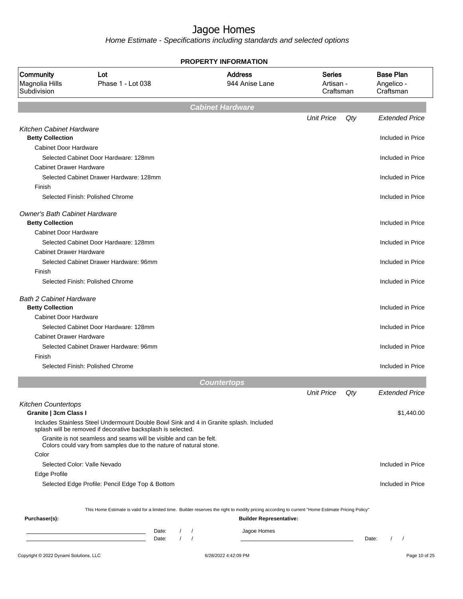| <b>PROPERTY INFORMATION</b>                                                                     |                                                                                                                                                        |                                       |                                  |                                         |     |                                             |
|-------------------------------------------------------------------------------------------------|--------------------------------------------------------------------------------------------------------------------------------------------------------|---------------------------------------|----------------------------------|-----------------------------------------|-----|---------------------------------------------|
| Community<br>Magnolia Hills<br>Subdivision                                                      | Lot<br>Phase 1 - Lot 038                                                                                                                               |                                       | <b>Address</b><br>944 Anise Lane | <b>Series</b><br>Artisan -<br>Craftsman |     | <b>Base Plan</b><br>Angelico -<br>Craftsman |
|                                                                                                 |                                                                                                                                                        |                                       | <b>Cabinet Hardware</b>          |                                         |     |                                             |
|                                                                                                 |                                                                                                                                                        |                                       |                                  | <b>Unit Price</b>                       | Qty | <b>Extended Price</b>                       |
| <b>Kitchen Cabinet Hardware</b><br><b>Betty Collection</b>                                      |                                                                                                                                                        |                                       |                                  |                                         |     | Included in Price                           |
| <b>Cabinet Door Hardware</b>                                                                    | Selected Cabinet Door Hardware: 128mm                                                                                                                  |                                       |                                  |                                         |     | Included in Price                           |
| <b>Cabinet Drawer Hardware</b><br>Finish                                                        | Selected Cabinet Drawer Hardware: 128mm                                                                                                                |                                       |                                  |                                         |     | Included in Price                           |
|                                                                                                 | Selected Finish: Polished Chrome                                                                                                                       |                                       |                                  |                                         |     | Included in Price                           |
| <b>Owner's Bath Cabinet Hardware</b><br><b>Betty Collection</b><br><b>Cabinet Door Hardware</b> |                                                                                                                                                        |                                       |                                  |                                         |     | Included in Price                           |
| <b>Cabinet Drawer Hardware</b>                                                                  | Selected Cabinet Door Hardware: 128mm                                                                                                                  |                                       |                                  |                                         |     | Included in Price                           |
| Finish                                                                                          | Selected Cabinet Drawer Hardware: 96mm                                                                                                                 |                                       |                                  |                                         |     | Included in Price                           |
|                                                                                                 | Selected Finish: Polished Chrome                                                                                                                       |                                       |                                  |                                         |     | Included in Price                           |
| <b>Bath 2 Cabinet Hardware</b><br><b>Betty Collection</b>                                       |                                                                                                                                                        |                                       |                                  |                                         |     | Included in Price                           |
| <b>Cabinet Door Hardware</b>                                                                    | Selected Cabinet Door Hardware: 128mm                                                                                                                  |                                       |                                  |                                         |     | Included in Price                           |
| <b>Cabinet Drawer Hardware</b>                                                                  | Selected Cabinet Drawer Hardware: 96mm                                                                                                                 |                                       |                                  |                                         |     | Included in Price                           |
| Finish                                                                                          | Selected Finish: Polished Chrome                                                                                                                       |                                       |                                  |                                         |     | Included in Price                           |
|                                                                                                 |                                                                                                                                                        |                                       | <b>Countertops</b>               |                                         |     |                                             |
|                                                                                                 |                                                                                                                                                        |                                       |                                  | <b>Unit Price</b>                       | Qty | <b>Extended Price</b>                       |
| <b>Kitchen Countertops</b><br>Granite   3cm Class I                                             |                                                                                                                                                        |                                       |                                  |                                         |     | \$1,440.00                                  |
|                                                                                                 | Includes Stainless Steel Undermount Double Bowl Sink and 4 in Granite splash. Included<br>splash will be removed if decorative backsplash is selected. |                                       |                                  |                                         |     |                                             |
| Color                                                                                           | Granite is not seamless and seams will be visible and can be felt.<br>Colors could vary from samples due to the nature of natural stone.               |                                       |                                  |                                         |     |                                             |
| Edge Profile                                                                                    | Selected Color: Valle Nevado                                                                                                                           |                                       |                                  |                                         |     | Included in Price                           |
|                                                                                                 | Selected Edge Profile: Pencil Edge Top & Bottom                                                                                                        |                                       |                                  |                                         |     | Included in Price                           |
|                                                                                                 | This Home Estimate is valid for a limited time. Builder reserves the right to modify pricing according to current "Home Estimate Pricing Policy"       |                                       |                                  |                                         |     |                                             |
| Purchaser(s):                                                                                   |                                                                                                                                                        |                                       | <b>Builder Representative:</b>   |                                         |     |                                             |
|                                                                                                 | Date:<br>Date:<br><u> 1980 - Johann Barbara, martxa alemaniar a</u>                                                                                    | $\left  \quad \right $<br>$1 \quad 1$ | Jagoe Homes                      |                                         |     | $\sqrt{ }$<br>Date:                         |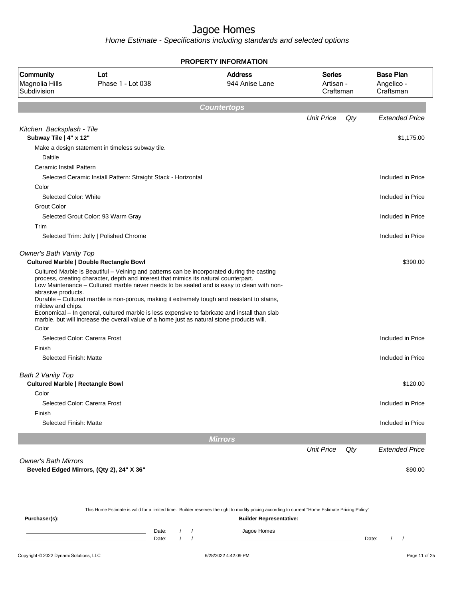| PROPERTY INFORMATION                              |                                                                                                                                                                                                                                                                                                                                                                                                                                                                                                                                                                               |                                  |                                         |     |                                             |  |
|---------------------------------------------------|-------------------------------------------------------------------------------------------------------------------------------------------------------------------------------------------------------------------------------------------------------------------------------------------------------------------------------------------------------------------------------------------------------------------------------------------------------------------------------------------------------------------------------------------------------------------------------|----------------------------------|-----------------------------------------|-----|---------------------------------------------|--|
| <b>Community</b><br>Magnolia Hills<br>Subdivision | Lot<br>Phase 1 - Lot 038                                                                                                                                                                                                                                                                                                                                                                                                                                                                                                                                                      | <b>Address</b><br>944 Anise Lane | <b>Series</b><br>Artisan -<br>Craftsman |     | <b>Base Plan</b><br>Angelico -<br>Craftsman |  |
|                                                   |                                                                                                                                                                                                                                                                                                                                                                                                                                                                                                                                                                               | <b>Countertops</b>               |                                         |     |                                             |  |
|                                                   |                                                                                                                                                                                                                                                                                                                                                                                                                                                                                                                                                                               |                                  | <b>Unit Price</b>                       | Qty | <b>Extended Price</b>                       |  |
| Kitchen Backsplash - Tile                         |                                                                                                                                                                                                                                                                                                                                                                                                                                                                                                                                                                               |                                  |                                         |     |                                             |  |
| Subway Tile   4" x 12"                            |                                                                                                                                                                                                                                                                                                                                                                                                                                                                                                                                                                               |                                  |                                         |     | \$1,175.00                                  |  |
|                                                   | Make a design statement in timeless subway tile.                                                                                                                                                                                                                                                                                                                                                                                                                                                                                                                              |                                  |                                         |     |                                             |  |
| Daltile                                           |                                                                                                                                                                                                                                                                                                                                                                                                                                                                                                                                                                               |                                  |                                         |     |                                             |  |
| Ceramic Install Pattern                           |                                                                                                                                                                                                                                                                                                                                                                                                                                                                                                                                                                               |                                  |                                         |     |                                             |  |
|                                                   | Selected Ceramic Install Pattern: Straight Stack - Horizontal                                                                                                                                                                                                                                                                                                                                                                                                                                                                                                                 |                                  |                                         |     | Included in Price                           |  |
| Color                                             |                                                                                                                                                                                                                                                                                                                                                                                                                                                                                                                                                                               |                                  |                                         |     |                                             |  |
| Selected Color: White                             |                                                                                                                                                                                                                                                                                                                                                                                                                                                                                                                                                                               |                                  |                                         |     | Included in Price                           |  |
| <b>Grout Color</b>                                |                                                                                                                                                                                                                                                                                                                                                                                                                                                                                                                                                                               |                                  |                                         |     |                                             |  |
|                                                   | Selected Grout Color: 93 Warm Gray                                                                                                                                                                                                                                                                                                                                                                                                                                                                                                                                            |                                  |                                         |     | Included in Price                           |  |
| Trim                                              |                                                                                                                                                                                                                                                                                                                                                                                                                                                                                                                                                                               |                                  |                                         |     |                                             |  |
|                                                   | Selected Trim: Jolly   Polished Chrome                                                                                                                                                                                                                                                                                                                                                                                                                                                                                                                                        |                                  |                                         |     | Included in Price                           |  |
| Owner's Bath Vanity Top                           |                                                                                                                                                                                                                                                                                                                                                                                                                                                                                                                                                                               |                                  |                                         |     |                                             |  |
|                                                   | <b>Cultured Marble   Double Rectangle Bowl</b>                                                                                                                                                                                                                                                                                                                                                                                                                                                                                                                                |                                  |                                         |     | \$390.00                                    |  |
| abrasive products.<br>mildew and chips.           | Cultured Marble is Beautiful – Veining and patterns can be incorporated during the casting<br>process, creating character, depth and interest that mimics its natural counterpart.<br>Low Maintenance - Cultured marble never needs to be sealed and is easy to clean with non-<br>Durable - Cultured marble is non-porous, making it extremely tough and resistant to stains,<br>Economical - In general, cultured marble is less expensive to fabricate and install than slab<br>marble, but will increase the overall value of a home just as natural stone products will. |                                  |                                         |     |                                             |  |
| Color                                             |                                                                                                                                                                                                                                                                                                                                                                                                                                                                                                                                                                               |                                  |                                         |     |                                             |  |
|                                                   | Selected Color: Carerra Frost                                                                                                                                                                                                                                                                                                                                                                                                                                                                                                                                                 |                                  |                                         |     | Included in Price                           |  |
| Finish                                            |                                                                                                                                                                                                                                                                                                                                                                                                                                                                                                                                                                               |                                  |                                         |     |                                             |  |
| Selected Finish: Matte                            |                                                                                                                                                                                                                                                                                                                                                                                                                                                                                                                                                                               |                                  |                                         |     | Included in Price                           |  |
| Bath 2 Vanity Top                                 |                                                                                                                                                                                                                                                                                                                                                                                                                                                                                                                                                                               |                                  |                                         |     |                                             |  |
| <b>Cultured Marble   Rectangle Bowl</b>           |                                                                                                                                                                                                                                                                                                                                                                                                                                                                                                                                                                               |                                  |                                         |     | \$120.00                                    |  |
| Color                                             |                                                                                                                                                                                                                                                                                                                                                                                                                                                                                                                                                                               |                                  |                                         |     |                                             |  |
|                                                   | Selected Color: Carerra Frost                                                                                                                                                                                                                                                                                                                                                                                                                                                                                                                                                 |                                  |                                         |     | Included in Price                           |  |
| Finish                                            |                                                                                                                                                                                                                                                                                                                                                                                                                                                                                                                                                                               |                                  |                                         |     |                                             |  |
| Selected Finish: Matte                            |                                                                                                                                                                                                                                                                                                                                                                                                                                                                                                                                                                               |                                  |                                         |     | Included in Price                           |  |
|                                                   |                                                                                                                                                                                                                                                                                                                                                                                                                                                                                                                                                                               |                                  |                                         |     |                                             |  |
|                                                   |                                                                                                                                                                                                                                                                                                                                                                                                                                                                                                                                                                               | <b>Mirrors</b>                   |                                         |     |                                             |  |
|                                                   |                                                                                                                                                                                                                                                                                                                                                                                                                                                                                                                                                                               |                                  | <b>Unit Price</b>                       | Qty | <b>Extended Price</b>                       |  |
| <b>Owner's Bath Mirrors</b>                       | Beveled Edged Mirrors, (Qty 2), 24" X 36"                                                                                                                                                                                                                                                                                                                                                                                                                                                                                                                                     |                                  |                                         |     | \$90.00                                     |  |

|               |       |                                |  | This Home Estimate is valid for a limited time. Builder reserves the right to modify pricing according to current "Home Estimate Pricing Policy" |       |  |  |  |  |  |
|---------------|-------|--------------------------------|--|--------------------------------------------------------------------------------------------------------------------------------------------------|-------|--|--|--|--|--|
| Purchaser(s): |       | <b>Builder Representative:</b> |  |                                                                                                                                                  |       |  |  |  |  |  |
|               | Date: |                                |  | Jagoe Homes                                                                                                                                      |       |  |  |  |  |  |
|               | Date: |                                |  |                                                                                                                                                  | Date: |  |  |  |  |  |
|               |       |                                |  |                                                                                                                                                  |       |  |  |  |  |  |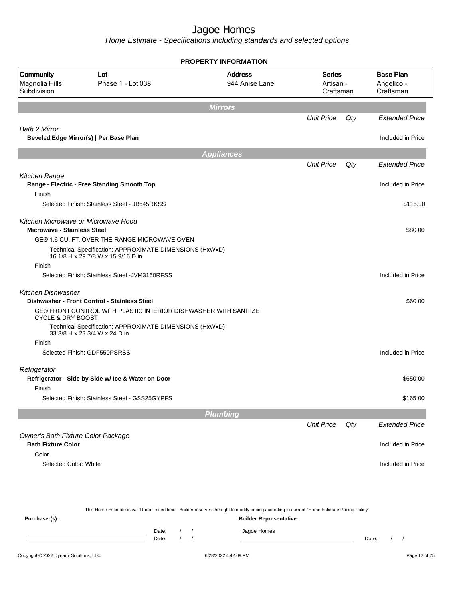|                                                                           |                                                                                               | <b>PROPERTY INFORMATION</b>      |                                         |     |                                             |
|---------------------------------------------------------------------------|-----------------------------------------------------------------------------------------------|----------------------------------|-----------------------------------------|-----|---------------------------------------------|
| <b>Community</b><br>Magnolia Hills<br>Subdivision                         | Lot<br>Phase 1 - Lot 038                                                                      | <b>Address</b><br>944 Anise Lane | <b>Series</b><br>Artisan -<br>Craftsman |     | <b>Base Plan</b><br>Angelico -<br>Craftsman |
|                                                                           |                                                                                               | <b>Mirrors</b>                   |                                         |     |                                             |
|                                                                           |                                                                                               |                                  | <b>Unit Price</b>                       | Qty | <b>Extended Price</b>                       |
| <b>Bath 2 Mirror</b>                                                      | Beveled Edge Mirror(s)   Per Base Plan                                                        |                                  |                                         |     | Included in Price                           |
|                                                                           |                                                                                               | <b>Appliances</b>                |                                         |     |                                             |
|                                                                           |                                                                                               |                                  | <b>Unit Price</b>                       | Qty | <b>Extended Price</b>                       |
| Kitchen Range                                                             | Range - Electric - Free Standing Smooth Top                                                   |                                  |                                         |     | Included in Price                           |
| Finish                                                                    |                                                                                               |                                  |                                         |     |                                             |
|                                                                           | Selected Finish: Stainless Steel - JB645RKSS                                                  |                                  |                                         |     | \$115.00                                    |
| Kitchen Microwave or Microwave Hood<br><b>Microwave - Stainless Steel</b> |                                                                                               |                                  |                                         |     | \$80.00                                     |
|                                                                           | GE® 1.6 CU. FT. OVER-THE-RANGE MICROWAVE OVEN                                                 |                                  |                                         |     |                                             |
|                                                                           | Technical Specification: APPROXIMATE DIMENSIONS (HxWxD)<br>16 1/8 H x 29 7/8 W x 15 9/16 D in |                                  |                                         |     |                                             |
| Finish                                                                    |                                                                                               |                                  |                                         |     |                                             |
|                                                                           | Selected Finish: Stainless Steel - JVM3160RFSS                                                |                                  |                                         |     | Included in Price                           |
| Kitchen Dishwasher                                                        | Dishwasher - Front Control - Stainless Steel                                                  |                                  |                                         |     | \$60.00                                     |
| <b>CYCLE &amp; DRY BOOST</b>                                              | GE® FRONT CONTROL WITH PLASTIC INTERIOR DISHWASHER WITH SANITIZE                              |                                  |                                         |     |                                             |
|                                                                           | Technical Specification: APPROXIMATE DIMENSIONS (HxWxD)<br>33 3/8 H x 23 3/4 W x 24 D in      |                                  |                                         |     |                                             |
| Finish                                                                    |                                                                                               |                                  |                                         |     |                                             |
|                                                                           | Selected Finish: GDF550PSRSS                                                                  |                                  |                                         |     | Included in Price                           |
| Refrigerator                                                              |                                                                                               |                                  |                                         |     |                                             |
| Finish                                                                    | Refrigerator - Side by Side w/ Ice & Water on Door                                            |                                  |                                         |     | \$650.00                                    |
|                                                                           | Selected Finish: Stainless Steel - GSS25GYPFS                                                 |                                  |                                         |     | \$165.00                                    |
|                                                                           |                                                                                               | <b>Plumbing</b>                  |                                         |     |                                             |
|                                                                           |                                                                                               |                                  | <b>Unit Price</b>                       | Qty | <b>Extended Price</b>                       |
| Owner's Bath Fixture Color Package<br><b>Bath Fixture Color</b>           |                                                                                               |                                  |                                         |     | Included in Price                           |
| Color                                                                     |                                                                                               |                                  |                                         |     |                                             |
| Selected Color: White                                                     |                                                                                               |                                  |                                         |     | Included in Price                           |
|                                                                           |                                                                                               |                                  |                                         |     |                                             |
|                                                                           |                                                                                               |                                  |                                         |     |                                             |

|               |       |  | This Home Estimate is valid for a limited time. Builder reserves the right to modify pricing according to current "Home Estimate Pricing Policy" |       |  |
|---------------|-------|--|--------------------------------------------------------------------------------------------------------------------------------------------------|-------|--|
| Purchaser(s): |       |  | <b>Builder Representative:</b>                                                                                                                   |       |  |
|               | Date: |  | Jagoe Homes                                                                                                                                      |       |  |
|               | Date: |  |                                                                                                                                                  | Date: |  |
|               |       |  |                                                                                                                                                  |       |  |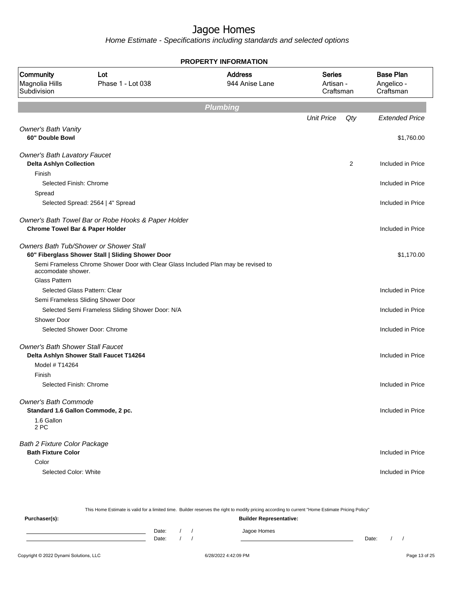| <b>PROPERTY INFORMATION</b>                                           |                                                                                             |                                  |                                         |                |                                             |  |
|-----------------------------------------------------------------------|---------------------------------------------------------------------------------------------|----------------------------------|-----------------------------------------|----------------|---------------------------------------------|--|
| <b>Community</b><br>Magnolia Hills<br>Subdivision                     | Lot<br>Phase 1 - Lot 038                                                                    | <b>Address</b><br>944 Anise Lane | <b>Series</b><br>Artisan -<br>Craftsman |                | <b>Base Plan</b><br>Angelico -<br>Craftsman |  |
|                                                                       |                                                                                             | <b>Plumbing</b>                  |                                         |                |                                             |  |
|                                                                       |                                                                                             |                                  | <b>Unit Price</b>                       | Qty            | <b>Extended Price</b>                       |  |
| <b>Owner's Bath Vanity</b><br>60" Double Bowl                         |                                                                                             |                                  |                                         |                | \$1,760.00                                  |  |
| <b>Owner's Bath Lavatory Faucet</b><br><b>Delta Ashlyn Collection</b> |                                                                                             |                                  |                                         | $\overline{2}$ | Included in Price                           |  |
| Finish<br>Selected Finish: Chrome<br>Spread                           |                                                                                             |                                  |                                         |                | Included in Price                           |  |
|                                                                       | Selected Spread: 2564   4" Spread                                                           |                                  |                                         |                | Included in Price                           |  |
| <b>Chrome Towel Bar &amp; Paper Holder</b>                            | Owner's Bath Towel Bar or Robe Hooks & Paper Holder                                         |                                  |                                         |                | Included in Price                           |  |
|                                                                       | Owners Bath Tub/Shower or Shower Stall<br>60" Fiberglass Shower Stall   Sliding Shower Door |                                  |                                         |                | \$1,170.00                                  |  |
| accomodate shower.                                                    | Semi Frameless Chrome Shower Door with Clear Glass Included Plan may be revised to          |                                  |                                         |                |                                             |  |
| <b>Glass Pattern</b>                                                  |                                                                                             |                                  |                                         |                |                                             |  |
|                                                                       | Selected Glass Pattern: Clear                                                               |                                  |                                         |                | Included in Price                           |  |
|                                                                       | Semi Frameless Sliding Shower Door                                                          |                                  |                                         |                | Included in Price                           |  |
| Shower Door                                                           | Selected Semi Frameless Sliding Shower Door: N/A                                            |                                  |                                         |                |                                             |  |
|                                                                       | Selected Shower Door: Chrome                                                                |                                  |                                         |                | Included in Price                           |  |
| <b>Owner's Bath Shower Stall Faucet</b>                               |                                                                                             |                                  |                                         |                |                                             |  |
|                                                                       | Delta Ashlyn Shower Stall Faucet T14264                                                     |                                  |                                         |                | Included in Price                           |  |
| Model # T14264                                                        |                                                                                             |                                  |                                         |                |                                             |  |
| Finish                                                                |                                                                                             |                                  |                                         |                |                                             |  |
| Selected Finish: Chrome                                               |                                                                                             |                                  |                                         |                | Included in Price                           |  |
| <b>Owner's Bath Commode</b><br>Standard 1.6 Gallon Commode, 2 pc.     |                                                                                             |                                  |                                         |                | Included in Price                           |  |
| 1.6 Gallon<br>2 PC                                                    |                                                                                             |                                  |                                         |                |                                             |  |
| <b>Bath 2 Fixture Color Package</b>                                   |                                                                                             |                                  |                                         |                |                                             |  |
| <b>Bath Fixture Color</b>                                             |                                                                                             |                                  |                                         |                | Included in Price                           |  |
| Color                                                                 |                                                                                             |                                  |                                         |                |                                             |  |
| Selected Color: White                                                 |                                                                                             |                                  |                                         |                | Included in Price                           |  |

| This Home Estimate is valid for a limited time. Builder reserves the right to modify pricing according to current "Home Estimate Pricing Policy" |  |       |  |  |                                |       |  |  |
|--------------------------------------------------------------------------------------------------------------------------------------------------|--|-------|--|--|--------------------------------|-------|--|--|
| Purchaser(s):                                                                                                                                    |  |       |  |  | <b>Builder Representative:</b> |       |  |  |
|                                                                                                                                                  |  | Date: |  |  | Jagoe Homes                    |       |  |  |
|                                                                                                                                                  |  | Date: |  |  |                                | Date: |  |  |
|                                                                                                                                                  |  |       |  |  |                                |       |  |  |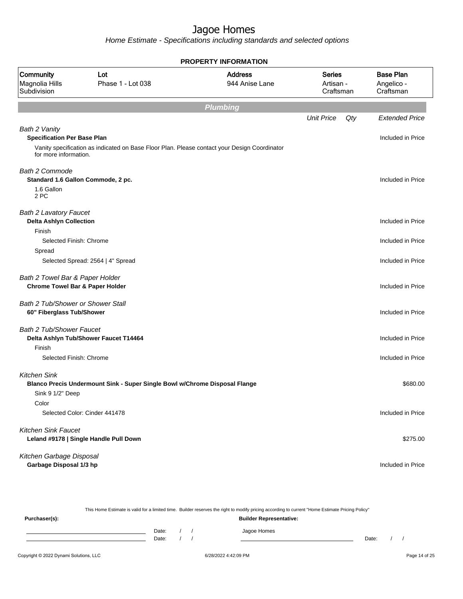Home Estimate - Specifications including standards and selected options

| PROPERTY INFORMATION                                            |                                                                                              |                                  |                                         |     |                                             |
|-----------------------------------------------------------------|----------------------------------------------------------------------------------------------|----------------------------------|-----------------------------------------|-----|---------------------------------------------|
| Community<br>Magnolia Hills<br>Subdivision                      | Lot<br>Phase 1 - Lot 038                                                                     | <b>Address</b><br>944 Anise Lane | <b>Series</b><br>Artisan -<br>Craftsman |     | <b>Base Plan</b><br>Angelico -<br>Craftsman |
|                                                                 |                                                                                              | <b>Plumbing</b>                  |                                         |     |                                             |
|                                                                 |                                                                                              |                                  | <b>Unit Price</b>                       | Qty | <b>Extended Price</b>                       |
| Bath 2 Vanity<br><b>Specification Per Base Plan</b>             |                                                                                              |                                  |                                         |     | Included in Price                           |
| for more information.                                           | Vanity specification as indicated on Base Floor Plan. Please contact your Design Coordinator |                                  |                                         |     |                                             |
| <b>Bath 2 Commode</b>                                           |                                                                                              |                                  |                                         |     |                                             |
|                                                                 | Standard 1.6 Gallon Commode, 2 pc.                                                           |                                  |                                         |     | Included in Price                           |
| 1.6 Gallon<br>2 PC                                              |                                                                                              |                                  |                                         |     |                                             |
| <b>Bath 2 Lavatory Faucet</b><br><b>Delta Ashlyn Collection</b> |                                                                                              |                                  |                                         |     | Included in Price                           |
| Finish                                                          |                                                                                              |                                  |                                         |     |                                             |
| Selected Finish: Chrome                                         |                                                                                              |                                  |                                         |     | Included in Price                           |
| Spread                                                          |                                                                                              |                                  |                                         |     |                                             |
|                                                                 | Selected Spread: 2564   4" Spread                                                            |                                  |                                         |     | Included in Price                           |
| Bath 2 Towel Bar & Paper Holder                                 |                                                                                              |                                  |                                         |     |                                             |
| <b>Chrome Towel Bar &amp; Paper Holder</b>                      |                                                                                              |                                  |                                         |     | Included in Price                           |
| Bath 2 Tub/Shower or Shower Stall                               |                                                                                              |                                  |                                         |     |                                             |
| 60" Fiberglass Tub/Shower                                       |                                                                                              |                                  |                                         |     | Included in Price                           |
| <b>Bath 2 Tub/Shower Faucet</b>                                 |                                                                                              |                                  |                                         |     |                                             |
|                                                                 | Delta Ashlyn Tub/Shower Faucet T14464                                                        |                                  |                                         |     | Included in Price                           |
| Finish                                                          |                                                                                              |                                  |                                         |     |                                             |
| Selected Finish: Chrome                                         |                                                                                              |                                  |                                         |     | Included in Price                           |
| <b>Kitchen Sink</b>                                             |                                                                                              |                                  |                                         |     |                                             |
|                                                                 | Blanco Precis Undermount Sink - Super Single Bowl w/Chrome Disposal Flange                   |                                  |                                         |     | \$680.00                                    |
| Sink 9 1/2" Deep                                                |                                                                                              |                                  |                                         |     |                                             |
| Color                                                           |                                                                                              |                                  |                                         |     |                                             |
|                                                                 | Selected Color: Cinder 441478                                                                |                                  |                                         |     | Included in Price                           |
| <b>Kitchen Sink Faucet</b>                                      |                                                                                              |                                  |                                         |     |                                             |
|                                                                 | Leland #9178   Single Handle Pull Down                                                       |                                  |                                         |     | \$275.00                                    |
| Kitchen Garbage Disposal                                        |                                                                                              |                                  |                                         |     |                                             |
| Garbage Disposal 1/3 hp                                         |                                                                                              |                                  |                                         |     | Included in Price                           |

This Home Estimate is valid for a limited time. Builder reserves the right to modify pricing according to current "Home Estimate Pricing Policy" **Purchaser(s): Builder Representative:** Date: / / Jagoe Homes<br>Date: / / Jagoe Homes Date: / / **Date: / / 2006** Date: / / / Date: / / / Date: / / / 2006 Date: / / / 2006 Date: / / / 2006 Date: / / / 2006 Date: / / / 2007 Date: / / / 2007 Date: / / / 2007 Date: / / / 2007 Date: / / / 2007 Date: / / / 2007 D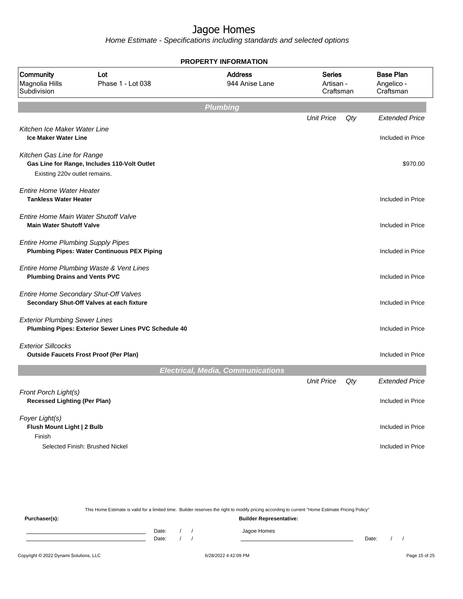Home Estimate - Specifications including standards and selected options

| <b>PROPERTY INFORMATION</b>                                             |                                                                                    |                                          |                                         |     |                                             |  |  |
|-------------------------------------------------------------------------|------------------------------------------------------------------------------------|------------------------------------------|-----------------------------------------|-----|---------------------------------------------|--|--|
| Community<br>Magnolia Hills<br>Subdivision                              | Lot<br>Phase 1 - Lot 038                                                           | <b>Address</b><br>944 Anise Lane         | <b>Series</b><br>Artisan -<br>Craftsman |     | <b>Base Plan</b><br>Angelico -<br>Craftsman |  |  |
|                                                                         |                                                                                    | Plumbing                                 |                                         |     |                                             |  |  |
|                                                                         |                                                                                    |                                          | <b>Unit Price</b>                       | Qty | <b>Extended Price</b>                       |  |  |
| Kitchen Ice Maker Water Line<br><b>Ice Maker Water Line</b>             |                                                                                    |                                          |                                         |     | Included in Price                           |  |  |
| Kitchen Gas Line for Range                                              | Gas Line for Range, Includes 110-Volt Outlet                                       |                                          |                                         |     | \$970.00                                    |  |  |
| Existing 220v outlet remains.                                           |                                                                                    |                                          |                                         |     |                                             |  |  |
| Entire Home Water Heater<br><b>Tankless Water Heater</b>                |                                                                                    |                                          |                                         |     | Included in Price                           |  |  |
| Entire Home Main Water Shutoff Valve<br><b>Main Water Shutoff Valve</b> |                                                                                    |                                          |                                         |     | Included in Price                           |  |  |
| <b>Entire Home Plumbing Supply Pipes</b>                                | <b>Plumbing Pipes: Water Continuous PEX Piping</b>                                 |                                          |                                         |     | Included in Price                           |  |  |
| <b>Plumbing Drains and Vents PVC</b>                                    | Entire Home Plumbing Waste & Vent Lines                                            |                                          |                                         |     | Included in Price                           |  |  |
|                                                                         | Entire Home Secondary Shut-Off Valves<br>Secondary Shut-Off Valves at each fixture |                                          |                                         |     | Included in Price                           |  |  |
| <b>Exterior Plumbing Sewer Lines</b>                                    | Plumbing Pipes: Exterior Sewer Lines PVC Schedule 40                               |                                          |                                         |     | Included in Price                           |  |  |
| <b>Exterior Sillcocks</b>                                               | <b>Outside Faucets Frost Proof (Per Plan)</b>                                      |                                          |                                         |     | Included in Price                           |  |  |
|                                                                         |                                                                                    | <b>Electrical, Media, Communications</b> |                                         |     |                                             |  |  |
|                                                                         |                                                                                    |                                          | <b>Unit Price</b>                       | Qty | <b>Extended Price</b>                       |  |  |
| Front Porch Light(s)<br><b>Recessed Lighting (Per Plan)</b>             |                                                                                    |                                          |                                         |     | Included in Price                           |  |  |
| Foyer Light(s)<br>Flush Mount Light   2 Bulb<br>Finish                  |                                                                                    |                                          |                                         |     | Included in Price                           |  |  |
|                                                                         | Selected Finish: Brushed Nickel                                                    |                                          |                                         |     | Included in Price                           |  |  |

This Home Estimate is valid for a limited time. Builder reserves the right to modify pricing according to current "Home Estimate Pricing Policy"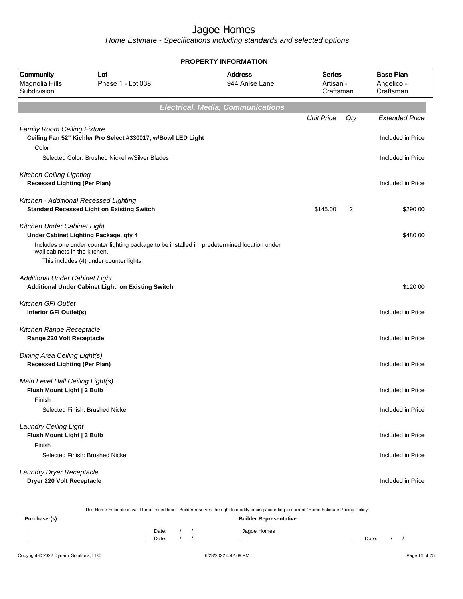Home Estimate - Specifications including standards and selected options

| <b>PROPERTY INFORMATION</b>                                            |                                                                                                                                        |                                          |                                         |                   |                                             |  |  |
|------------------------------------------------------------------------|----------------------------------------------------------------------------------------------------------------------------------------|------------------------------------------|-----------------------------------------|-------------------|---------------------------------------------|--|--|
| Community<br>Magnolia Hills<br>Subdivision                             | Lot<br>Phase 1 - Lot 038                                                                                                               | <b>Address</b><br>944 Anise Lane         | <b>Series</b><br>Artisan -<br>Craftsman |                   | <b>Base Plan</b><br>Angelico -<br>Craftsman |  |  |
|                                                                        |                                                                                                                                        | <b>Electrical, Media, Communications</b> |                                         |                   |                                             |  |  |
|                                                                        |                                                                                                                                        |                                          | <b>Unit Price</b>                       | Qty               | <b>Extended Price</b>                       |  |  |
| <b>Family Room Ceiling Fixture</b><br>Color                            | Ceiling Fan 52" Kichler Pro Select #330017, w/Bowl LED Light                                                                           |                                          |                                         |                   | Included in Price                           |  |  |
|                                                                        | Selected Color: Brushed Nickel w/Silver Blades                                                                                         |                                          |                                         | Included in Price |                                             |  |  |
| <b>Kitchen Ceiling Lighting</b><br><b>Recessed Lighting (Per Plan)</b> |                                                                                                                                        |                                          |                                         |                   | Included in Price                           |  |  |
| Kitchen - Additional Recessed Lighting                                 | <b>Standard Recessed Light on Existing Switch</b>                                                                                      |                                          | \$145.00                                | 2                 | \$290.00                                    |  |  |
| Kitchen Under Cabinet Light                                            | Under Cabinet Lighting Package, qty 4                                                                                                  |                                          |                                         | \$480.00          |                                             |  |  |
| wall cabinets in the kitchen.                                          | Includes one under counter lighting package to be installed in predetermined location under<br>This includes (4) under counter lights. |                                          |                                         |                   |                                             |  |  |
| <b>Additional Under Cabinet Light</b>                                  | Additional Under Cabinet Light, on Existing Switch                                                                                     |                                          |                                         |                   | \$120.00                                    |  |  |
| Kitchen GFI Outlet<br>Interior GFI Outlet(s)                           |                                                                                                                                        |                                          |                                         |                   | Included in Price                           |  |  |
| Kitchen Range Receptacle<br>Range 220 Volt Receptacle                  |                                                                                                                                        |                                          |                                         |                   | Included in Price                           |  |  |
| Dining Area Ceiling Light(s)<br><b>Recessed Lighting (Per Plan)</b>    |                                                                                                                                        |                                          |                                         |                   | Included in Price                           |  |  |
| Main Level Hall Ceiling Light(s)<br>Flush Mount Light   2 Bulb         |                                                                                                                                        |                                          |                                         |                   | Included in Price                           |  |  |
| Finish                                                                 | Selected Finish: Brushed Nickel                                                                                                        |                                          |                                         |                   | Included in Price                           |  |  |
| <b>Laundry Ceiling Light</b><br>Flush Mount Light   3 Bulb<br>Finish   |                                                                                                                                        |                                          |                                         |                   | Included in Price                           |  |  |
|                                                                        | Selected Finish: Brushed Nickel                                                                                                        |                                          |                                         |                   | Included in Price                           |  |  |
| Laundry Dryer Receptacle<br>Dryer 220 Volt Receptacle                  |                                                                                                                                        |                                          |                                         |                   | Included in Price                           |  |  |

This Home Estimate is valid for a limited time. Builder reserves the right to modify pricing according to current "Home Estimate Pricing Policy"

| Purchaser(s): |                |  | <b>Builder Representative:</b> |       |  |
|---------------|----------------|--|--------------------------------|-------|--|
|               | Date:<br>Date: |  | Jagoe Homes                    | Date: |  |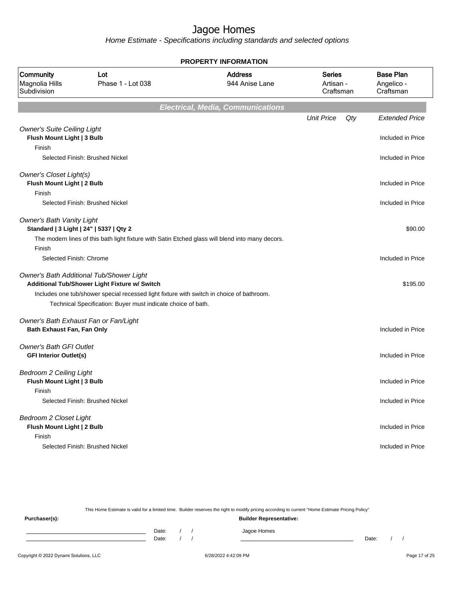Home Estimate - Specifications including standards and selected options

| <b>PROPERTY INFORMATION</b>                                                |                                                                                                                                                                                                                                                        |                                          |                                         |     |                                             |  |  |  |
|----------------------------------------------------------------------------|--------------------------------------------------------------------------------------------------------------------------------------------------------------------------------------------------------------------------------------------------------|------------------------------------------|-----------------------------------------|-----|---------------------------------------------|--|--|--|
| Community<br>Magnolia Hills<br>Subdivision                                 | Lot<br>Phase 1 - Lot 038                                                                                                                                                                                                                               | <b>Address</b><br>944 Anise Lane         | <b>Series</b><br>Artisan -<br>Craftsman |     | <b>Base Plan</b><br>Angelico -<br>Craftsman |  |  |  |
|                                                                            |                                                                                                                                                                                                                                                        | <b>Electrical, Media, Communications</b> |                                         |     |                                             |  |  |  |
|                                                                            |                                                                                                                                                                                                                                                        |                                          | <b>Unit Price</b>                       | Qty | <b>Extended Price</b>                       |  |  |  |
| <b>Owner's Suite Ceiling Light</b><br>Flush Mount Light   3 Bulb<br>Finish |                                                                                                                                                                                                                                                        |                                          |                                         |     | Included in Price                           |  |  |  |
|                                                                            | Selected Finish: Brushed Nickel                                                                                                                                                                                                                        |                                          |                                         |     | Included in Price                           |  |  |  |
| Owner's Closet Light(s)<br>Flush Mount Light   2 Bulb<br>Finish            |                                                                                                                                                                                                                                                        |                                          |                                         |     | Included in Price                           |  |  |  |
|                                                                            | Selected Finish: Brushed Nickel                                                                                                                                                                                                                        |                                          |                                         |     | Included in Price                           |  |  |  |
| <b>Owner's Bath Vanity Light</b>                                           | Standard   3 Light   24"   5337   Qty 2<br>The modern lines of this bath light fixture with Satin Etched glass will blend into many decors.                                                                                                            |                                          |                                         |     | \$90.00                                     |  |  |  |
| Finish                                                                     |                                                                                                                                                                                                                                                        |                                          |                                         |     |                                             |  |  |  |
| Selected Finish: Chrome                                                    |                                                                                                                                                                                                                                                        |                                          |                                         |     | Included in Price                           |  |  |  |
|                                                                            | Owner's Bath Additional Tub/Shower Light<br>Additional Tub/Shower Light Fixture w/ Switch<br>Includes one tub/shower special recessed light fixture with switch in choice of bathroom.<br>Technical Specification: Buyer must indicate choice of bath. |                                          |                                         |     | \$195.00                                    |  |  |  |
| Bath Exhaust Fan, Fan Only                                                 | Owner's Bath Exhaust Fan or Fan/Light                                                                                                                                                                                                                  |                                          |                                         |     | Included in Price                           |  |  |  |
| <b>Owner's Bath GFI Outlet</b><br><b>GFI Interior Outlet(s)</b>            |                                                                                                                                                                                                                                                        |                                          |                                         |     | Included in Price                           |  |  |  |
| Bedroom 2 Ceiling Light<br>Flush Mount Light   3 Bulb                      |                                                                                                                                                                                                                                                        |                                          |                                         |     | Included in Price                           |  |  |  |
| Finish                                                                     | Selected Finish: Brushed Nickel                                                                                                                                                                                                                        |                                          |                                         |     | Included in Price                           |  |  |  |
| Bedroom 2 Closet Light<br>Flush Mount Light   2 Bulb<br>Finish             |                                                                                                                                                                                                                                                        |                                          |                                         |     | Included in Price                           |  |  |  |
|                                                                            | Selected Finish: Brushed Nickel                                                                                                                                                                                                                        |                                          |                                         |     | Included in Price                           |  |  |  |

This Home Estimate is valid for a limited time. Builder reserves the right to modify pricing according to current "Home Estimate Pricing Policy"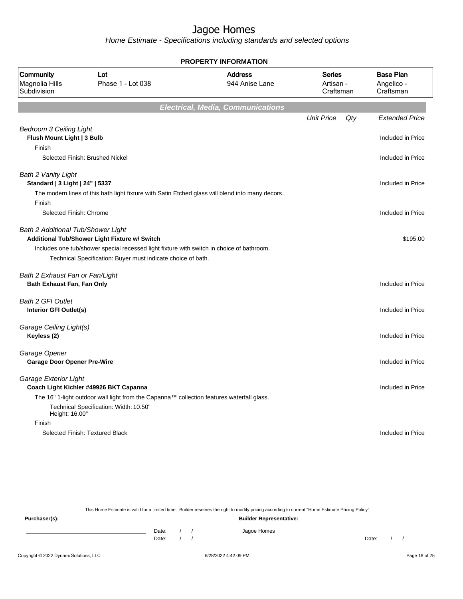Home Estimate - Specifications including standards and selected options

| <b>PROPERTY INFORMATION</b>                                   |                                                                                                                                                                                                            |                                          |                                         |            |                               |  |  |  |  |
|---------------------------------------------------------------|------------------------------------------------------------------------------------------------------------------------------------------------------------------------------------------------------------|------------------------------------------|-----------------------------------------|------------|-------------------------------|--|--|--|--|
| Community<br>Magnolia Hills<br>Subdivision                    | Lot<br>Phase 1 - Lot 038                                                                                                                                                                                   | <b>Address</b><br>944 Anise Lane         | <b>Series</b><br>Artisan -<br>Craftsman | Angelico - | <b>Base Plan</b><br>Craftsman |  |  |  |  |
|                                                               |                                                                                                                                                                                                            | <b>Electrical, Media, Communications</b> |                                         |            |                               |  |  |  |  |
|                                                               |                                                                                                                                                                                                            |                                          | <b>Unit Price</b>                       | Qty        | <b>Extended Price</b>         |  |  |  |  |
| <b>Bedroom 3 Ceiling Light</b><br>Flush Mount Light   3 Bulb  |                                                                                                                                                                                                            |                                          |                                         |            | Included in Price             |  |  |  |  |
| Finish                                                        | Selected Finish: Brushed Nickel                                                                                                                                                                            |                                          |                                         |            | Included in Price             |  |  |  |  |
| Bath 2 Vanity Light<br>Standard   3 Light   24"   5337        |                                                                                                                                                                                                            |                                          |                                         |            | Included in Price             |  |  |  |  |
| Finish                                                        | The modern lines of this bath light fixture with Satin Etched glass will blend into many decors.                                                                                                           |                                          |                                         |            |                               |  |  |  |  |
| Selected Finish: Chrome                                       |                                                                                                                                                                                                            |                                          |                                         |            | Included in Price             |  |  |  |  |
| Bath 2 Additional Tub/Shower Light                            | Additional Tub/Shower Light Fixture w/ Switch<br>Includes one tub/shower special recessed light fixture with switch in choice of bathroom.<br>Technical Specification: Buyer must indicate choice of bath. |                                          |                                         |            | \$195.00                      |  |  |  |  |
| Bath 2 Exhaust Fan or Fan/Light<br>Bath Exhaust Fan, Fan Only |                                                                                                                                                                                                            |                                          |                                         |            | Included in Price             |  |  |  |  |
| Bath 2 GFI Outlet<br>Interior GFI Outlet(s)                   |                                                                                                                                                                                                            |                                          |                                         |            | Included in Price             |  |  |  |  |
| Garage Ceiling Light(s)<br>Keyless (2)                        |                                                                                                                                                                                                            |                                          |                                         |            | Included in Price             |  |  |  |  |
| Garage Opener<br><b>Garage Door Opener Pre-Wire</b>           |                                                                                                                                                                                                            |                                          |                                         |            | Included in Price             |  |  |  |  |
| Garage Exterior Light                                         | Coach Light Kichler #49926 BKT Capanna                                                                                                                                                                     |                                          |                                         |            | Included in Price             |  |  |  |  |
|                                                               | The 16" 1-light outdoor wall light from the Capanna™ collection features waterfall glass.<br>Technical Specification: Width: 10.50"                                                                        |                                          |                                         |            |                               |  |  |  |  |
| Height: 16.00"<br>Finish                                      |                                                                                                                                                                                                            |                                          |                                         |            |                               |  |  |  |  |
|                                                               | Selected Finish: Textured Black                                                                                                                                                                            |                                          |                                         |            | Included in Price             |  |  |  |  |

This Home Estimate is valid for a limited time. Builder reserves the right to modify pricing according to current "Home Estimate Pricing Policy"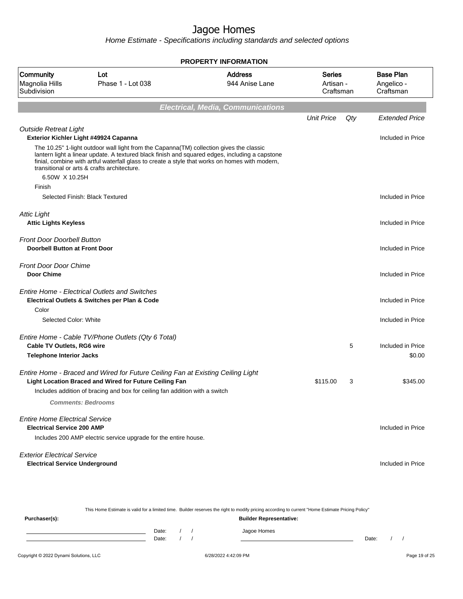| <b>PROPERTY INFORMATION</b>                                                |                                                                                                                                                                                                                                                                                                                                             |                                          |                                         |     |                                             |  |  |  |  |
|----------------------------------------------------------------------------|---------------------------------------------------------------------------------------------------------------------------------------------------------------------------------------------------------------------------------------------------------------------------------------------------------------------------------------------|------------------------------------------|-----------------------------------------|-----|---------------------------------------------|--|--|--|--|
| Community<br>Magnolia Hills<br>Subdivision                                 | <b>Address</b><br>Lot<br>Phase 1 - Lot 038<br>944 Anise Lane                                                                                                                                                                                                                                                                                |                                          | <b>Series</b><br>Artisan -<br>Craftsman |     | <b>Base Plan</b><br>Angelico -<br>Craftsman |  |  |  |  |
|                                                                            |                                                                                                                                                                                                                                                                                                                                             | <b>Electrical, Media, Communications</b> |                                         |     |                                             |  |  |  |  |
|                                                                            |                                                                                                                                                                                                                                                                                                                                             |                                          | <b>Unit Price</b>                       | Qty | <b>Extended Price</b>                       |  |  |  |  |
| <b>Outside Retreat Light</b>                                               | Exterior Kichler Light #49924 Capanna                                                                                                                                                                                                                                                                                                       |                                          |                                         |     | Included in Price                           |  |  |  |  |
|                                                                            | The 10.25" 1-light outdoor wall light from the Capanna (TM) collection gives the classic<br>lantern light a linear update. A textured black finish and squared edges, including a capstone<br>finial, combine with artful waterfall glass to create a style that works on homes with modern,<br>transitional or arts & crafts architecture. |                                          |                                         |     |                                             |  |  |  |  |
| 6.50W X 10.25H                                                             |                                                                                                                                                                                                                                                                                                                                             |                                          |                                         |     |                                             |  |  |  |  |
| Finish                                                                     | Selected Finish: Black Textured                                                                                                                                                                                                                                                                                                             |                                          |                                         |     | Included in Price                           |  |  |  |  |
| <b>Attic Light</b><br><b>Attic Lights Keyless</b>                          |                                                                                                                                                                                                                                                                                                                                             |                                          |                                         |     | Included in Price                           |  |  |  |  |
| <b>Front Door Doorbell Button</b><br><b>Doorbell Button at Front Door</b>  |                                                                                                                                                                                                                                                                                                                                             |                                          |                                         |     | Included in Price                           |  |  |  |  |
| <b>Front Door Door Chime</b><br><b>Door Chime</b>                          |                                                                                                                                                                                                                                                                                                                                             |                                          |                                         |     | Included in Price                           |  |  |  |  |
|                                                                            | <b>Entire Home - Electrical Outlets and Switches</b><br>Electrical Outlets & Switches per Plan & Code                                                                                                                                                                                                                                       |                                          |                                         |     | Included in Price                           |  |  |  |  |
| Color                                                                      |                                                                                                                                                                                                                                                                                                                                             |                                          |                                         |     |                                             |  |  |  |  |
| Selected Color: White                                                      |                                                                                                                                                                                                                                                                                                                                             |                                          |                                         |     | Included in Price                           |  |  |  |  |
| <b>Cable TV Outlets, RG6 wire</b>                                          | Entire Home - Cable TV/Phone Outlets (Qty 6 Total)                                                                                                                                                                                                                                                                                          |                                          |                                         | 5   | Included in Price                           |  |  |  |  |
| <b>Telephone Interior Jacks</b>                                            |                                                                                                                                                                                                                                                                                                                                             |                                          |                                         |     | \$0.00                                      |  |  |  |  |
|                                                                            | Entire Home - Braced and Wired for Future Ceiling Fan at Existing Ceiling Light<br>Light Location Braced and Wired for Future Ceiling Fan                                                                                                                                                                                                   |                                          | \$115.00                                | 3   | \$345.00                                    |  |  |  |  |
|                                                                            | Includes addition of bracing and box for ceiling fan addition with a switch                                                                                                                                                                                                                                                                 |                                          |                                         |     |                                             |  |  |  |  |
|                                                                            | <b>Comments: Bedrooms</b>                                                                                                                                                                                                                                                                                                                   |                                          |                                         |     |                                             |  |  |  |  |
| <b>Entire Home Electrical Service</b><br><b>Electrical Service 200 AMP</b> |                                                                                                                                                                                                                                                                                                                                             |                                          |                                         |     | Included in Price                           |  |  |  |  |
|                                                                            | Includes 200 AMP electric service upgrade for the entire house.                                                                                                                                                                                                                                                                             |                                          |                                         |     |                                             |  |  |  |  |
| <b>Exterior Electrical Service</b>                                         |                                                                                                                                                                                                                                                                                                                                             |                                          |                                         |     |                                             |  |  |  |  |
| <b>Electrical Service Underground</b>                                      |                                                                                                                                                                                                                                                                                                                                             |                                          |                                         |     | Included in Price                           |  |  |  |  |

| This Home Estimate is valid for a limited time. Builder reserves the right to modify pricing according to current "Home Estimate Pricing Policy" |       |  |  |                                |       |  |  |
|--------------------------------------------------------------------------------------------------------------------------------------------------|-------|--|--|--------------------------------|-------|--|--|
| Purchaser(s):                                                                                                                                    |       |  |  | <b>Builder Representative:</b> |       |  |  |
|                                                                                                                                                  | Date: |  |  | Jagoe Homes                    |       |  |  |
|                                                                                                                                                  | Date: |  |  |                                | Date: |  |  |
|                                                                                                                                                  |       |  |  |                                |       |  |  |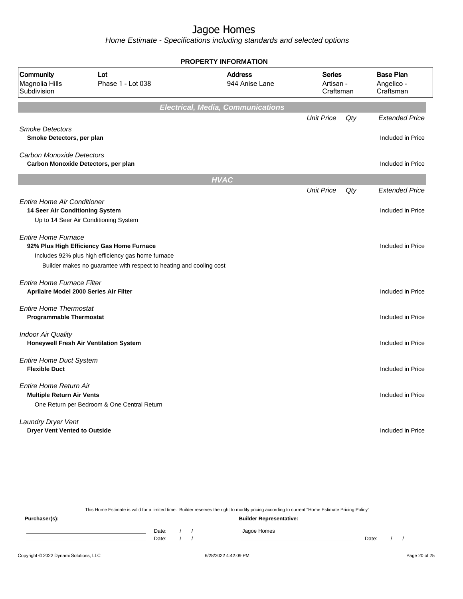Home Estimate - Specifications including standards and selected options

|                                                                         |                                                                                                                                                                        | <b>PROPERTY INFORMATION</b>              |                                         |     |                                             |  |
|-------------------------------------------------------------------------|------------------------------------------------------------------------------------------------------------------------------------------------------------------------|------------------------------------------|-----------------------------------------|-----|---------------------------------------------|--|
| Community<br>Magnolia Hills<br>Subdivision                              | Lot<br>Phase 1 - Lot 038                                                                                                                                               | <b>Address</b><br>944 Anise Lane         | <b>Series</b><br>Artisan -<br>Craftsman |     | <b>Base Plan</b><br>Angelico -<br>Craftsman |  |
|                                                                         |                                                                                                                                                                        | <b>Electrical, Media, Communications</b> |                                         |     |                                             |  |
| <b>Smoke Detectors</b>                                                  |                                                                                                                                                                        |                                          | <b>Unit Price</b>                       | Qty | <b>Extended Price</b>                       |  |
| Smoke Detectors, per plan                                               |                                                                                                                                                                        |                                          |                                         |     | Included in Price                           |  |
| <b>Carbon Monoxide Detectors</b><br>Carbon Monoxide Detectors, per plan |                                                                                                                                                                        |                                          |                                         |     | Included in Price                           |  |
|                                                                         |                                                                                                                                                                        | <b>HVAC</b>                              |                                         |     |                                             |  |
|                                                                         |                                                                                                                                                                        |                                          | <b>Unit Price</b>                       | Qty | <b>Extended Price</b>                       |  |
| <b>Entire Home Air Conditioner</b><br>14 Seer Air Conditioning System   |                                                                                                                                                                        |                                          |                                         |     | Included in Price                           |  |
|                                                                         | Up to 14 Seer Air Conditioning System                                                                                                                                  |                                          |                                         |     |                                             |  |
| <b>Entire Home Furnace</b>                                              | 92% Plus High Efficiency Gas Home Furnace<br>Includes 92% plus high efficiency gas home furnace<br>Builder makes no guarantee with respect to heating and cooling cost |                                          |                                         |     | Included in Price                           |  |
| <b>Entire Home Furnace Filter</b>                                       |                                                                                                                                                                        |                                          |                                         |     |                                             |  |
| Aprilaire Model 2000 Series Air Filter                                  |                                                                                                                                                                        |                                          |                                         |     | Included in Price                           |  |
| <b>Entire Home Thermostat</b><br><b>Programmable Thermostat</b>         |                                                                                                                                                                        |                                          |                                         |     | Included in Price                           |  |
| <b>Indoor Air Quality</b>                                               | Honeywell Fresh Air Ventilation System                                                                                                                                 |                                          |                                         |     | Included in Price                           |  |
| <b>Entire Home Duct System</b><br><b>Flexible Duct</b>                  |                                                                                                                                                                        |                                          |                                         |     | Included in Price                           |  |
| Entire Home Return Air<br><b>Multiple Return Air Vents</b>              |                                                                                                                                                                        |                                          |                                         |     | Included in Price                           |  |
|                                                                         | One Return per Bedroom & One Central Return                                                                                                                            |                                          |                                         |     |                                             |  |
| Laundry Dryer Vent<br><b>Dryer Vent Vented to Outside</b>               |                                                                                                                                                                        |                                          |                                         |     | Included in Price                           |  |

This Home Estimate is valid for a limited time. Builder reserves the right to modify pricing according to current "Home Estimate Pricing Policy" **Purchaser(s): Builder Representative:** Date: / / Jagoe Homes<br>Date: / / Jagoe Homes Date: / / Date: / /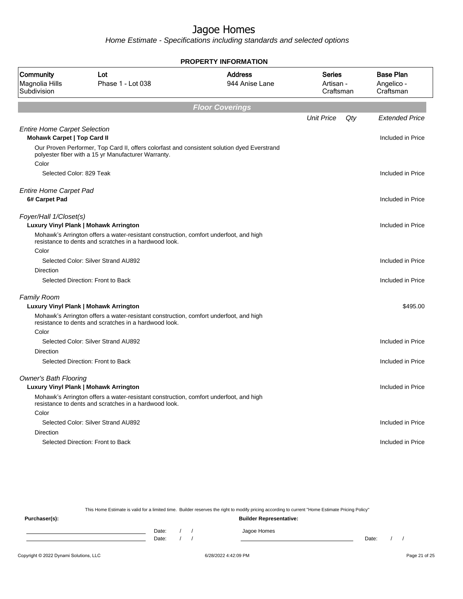Home Estimate - Specifications including standards and selected options

| <b>PROPERTY INFORMATION</b>                                               |                                                                                                                                                    |                                  |                                  |                                             |  |  |  |
|---------------------------------------------------------------------------|----------------------------------------------------------------------------------------------------------------------------------------------------|----------------------------------|----------------------------------|---------------------------------------------|--|--|--|
| Community<br>Magnolia Hills<br>Subdivision                                | Lot<br>Phase 1 - Lot 038                                                                                                                           | <b>Address</b><br>944 Anise Lane | Series<br>Artisan -<br>Craftsman | <b>Base Plan</b><br>Angelico -<br>Craftsman |  |  |  |
|                                                                           |                                                                                                                                                    | <b>Floor Coverings</b>           |                                  |                                             |  |  |  |
|                                                                           |                                                                                                                                                    |                                  | <b>Unit Price</b>                | Qty<br><b>Extended Price</b>                |  |  |  |
| <b>Entire Home Carpet Selection</b><br><b>Mohawk Carpet   Top Card II</b> |                                                                                                                                                    |                                  |                                  | Included in Price                           |  |  |  |
|                                                                           | Our Proven Performer, Top Card II, offers colorfast and consistent solution dyed Everstrand<br>polyester fiber with a 15 yr Manufacturer Warranty. |                                  |                                  |                                             |  |  |  |
| Color<br>Selected Color: 829 Teak                                         |                                                                                                                                                    |                                  |                                  | Included in Price                           |  |  |  |
| <b>Entire Home Carpet Pad</b><br>6# Carpet Pad                            |                                                                                                                                                    |                                  |                                  | Included in Price                           |  |  |  |
|                                                                           |                                                                                                                                                    |                                  |                                  |                                             |  |  |  |
| Foyer/Hall 1/Closet(s)                                                    | Luxury Vinyl Plank   Mohawk Arrington                                                                                                              |                                  |                                  | Included in Price                           |  |  |  |
|                                                                           | Mohawk's Arrington offers a water-resistant construction, comfort underfoot, and high<br>resistance to dents and scratches in a hardwood look.     |                                  |                                  |                                             |  |  |  |
| Color                                                                     |                                                                                                                                                    |                                  |                                  |                                             |  |  |  |
| <b>Direction</b>                                                          | Selected Color: Silver Strand AU892                                                                                                                |                                  |                                  | Included in Price                           |  |  |  |
|                                                                           | Selected Direction: Front to Back                                                                                                                  |                                  |                                  | Included in Price                           |  |  |  |
|                                                                           |                                                                                                                                                    |                                  |                                  |                                             |  |  |  |
| <b>Family Room</b>                                                        |                                                                                                                                                    |                                  |                                  |                                             |  |  |  |
|                                                                           | Luxury Vinyl Plank   Mohawk Arrington                                                                                                              |                                  |                                  | \$495.00                                    |  |  |  |
|                                                                           | Mohawk's Arrington offers a water-resistant construction, comfort underfoot, and high<br>resistance to dents and scratches in a hardwood look.     |                                  |                                  |                                             |  |  |  |
| Color                                                                     |                                                                                                                                                    |                                  |                                  |                                             |  |  |  |
|                                                                           | Selected Color: Silver Strand AU892                                                                                                                |                                  |                                  | Included in Price                           |  |  |  |
| <b>Direction</b>                                                          |                                                                                                                                                    |                                  |                                  |                                             |  |  |  |
|                                                                           | Selected Direction: Front to Back                                                                                                                  |                                  |                                  | Included in Price                           |  |  |  |
| <b>Owner's Bath Flooring</b>                                              | Luxury Vinyl Plank   Mohawk Arrington                                                                                                              |                                  |                                  | Included in Price                           |  |  |  |
|                                                                           | Mohawk's Arrington offers a water-resistant construction, comfort underfoot, and high<br>resistance to dents and scratches in a hardwood look.     |                                  |                                  |                                             |  |  |  |
| Color                                                                     |                                                                                                                                                    |                                  |                                  |                                             |  |  |  |
|                                                                           | Selected Color: Silver Strand AU892                                                                                                                |                                  |                                  | Included in Price                           |  |  |  |
| Direction                                                                 |                                                                                                                                                    |                                  |                                  |                                             |  |  |  |
|                                                                           | Selected Direction: Front to Back                                                                                                                  |                                  |                                  | Included in Price                           |  |  |  |
|                                                                           |                                                                                                                                                    |                                  |                                  |                                             |  |  |  |

This Home Estimate is valid for a limited time. Builder reserves the right to modify pricing according to current "Home Estimate Pricing Policy"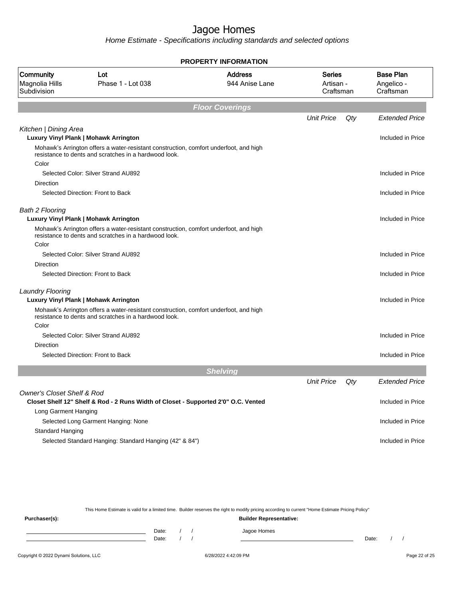Home Estimate - Specifications including standards and selected options

|                                            |                                                                                                                                                | <b>PROPERTY INFORMATION</b>      |                                         |     |                                             |
|--------------------------------------------|------------------------------------------------------------------------------------------------------------------------------------------------|----------------------------------|-----------------------------------------|-----|---------------------------------------------|
| Community<br>Magnolia Hills<br>Subdivision | Lot<br>Phase 1 - Lot 038                                                                                                                       | <b>Address</b><br>944 Anise Lane | <b>Series</b><br>Artisan -<br>Craftsman |     | <b>Base Plan</b><br>Angelico -<br>Craftsman |
|                                            |                                                                                                                                                | <b>Floor Coverings</b>           |                                         |     |                                             |
|                                            |                                                                                                                                                |                                  | <b>Unit Price</b>                       | Qty | <b>Extended Price</b>                       |
| Kitchen   Dining Area                      |                                                                                                                                                |                                  |                                         |     |                                             |
|                                            | Luxury Vinyl Plank   Mohawk Arrington                                                                                                          |                                  |                                         |     | Included in Price                           |
|                                            | Mohawk's Arrington offers a water-resistant construction, comfort underfoot, and high<br>resistance to dents and scratches in a hardwood look. |                                  |                                         |     |                                             |
| Color                                      |                                                                                                                                                |                                  |                                         |     |                                             |
|                                            | Selected Color: Silver Strand AU892                                                                                                            |                                  |                                         |     | Included in Price                           |
| Direction                                  |                                                                                                                                                |                                  |                                         |     |                                             |
|                                            | Selected Direction: Front to Back                                                                                                              |                                  |                                         |     | Included in Price                           |
| <b>Bath 2 Flooring</b>                     | Luxury Vinyl Plank   Mohawk Arrington                                                                                                          |                                  |                                         |     | Included in Price                           |
|                                            | Mohawk's Arrington offers a water-resistant construction, comfort underfoot, and high<br>resistance to dents and scratches in a hardwood look. |                                  |                                         |     |                                             |
| Color                                      |                                                                                                                                                |                                  |                                         |     |                                             |
|                                            | Selected Color: Silver Strand AU892                                                                                                            |                                  |                                         |     | Included in Price                           |
| <b>Direction</b>                           |                                                                                                                                                |                                  |                                         |     |                                             |
|                                            | Selected Direction: Front to Back                                                                                                              |                                  |                                         |     | Included in Price                           |
| <b>Laundry Flooring</b>                    |                                                                                                                                                |                                  |                                         |     |                                             |
|                                            | Luxury Vinyl Plank   Mohawk Arrington                                                                                                          |                                  |                                         |     | Included in Price                           |
| Color                                      | Mohawk's Arrington offers a water-resistant construction, comfort underfoot, and high<br>resistance to dents and scratches in a hardwood look. |                                  |                                         |     |                                             |
|                                            | Selected Color: Silver Strand AU892                                                                                                            |                                  |                                         |     | Included in Price                           |
| Direction                                  |                                                                                                                                                |                                  |                                         |     |                                             |
|                                            | Selected Direction: Front to Back                                                                                                              |                                  |                                         |     | Included in Price                           |
|                                            |                                                                                                                                                | <b>Shelving</b>                  |                                         |     |                                             |
|                                            |                                                                                                                                                |                                  | <b>Unit Price</b>                       | Qty | <b>Extended Price</b>                       |
| <b>Owner's Closet Shelf &amp; Rod</b>      |                                                                                                                                                |                                  |                                         |     |                                             |
|                                            | Closet Shelf 12" Shelf & Rod - 2 Runs Width of Closet - Supported 2'0" O.C. Vented                                                             |                                  |                                         |     | Included in Price                           |
| Long Garment Hanging                       |                                                                                                                                                |                                  |                                         |     |                                             |
|                                            | Selected Long Garment Hanging: None                                                                                                            |                                  |                                         |     | Included in Price                           |
| Standard Hanging                           |                                                                                                                                                |                                  |                                         |     |                                             |
|                                            | Selected Standard Hanging: Standard Hanging (42" & 84")                                                                                        |                                  |                                         |     | Included in Price                           |

This Home Estimate is valid for a limited time. Builder reserves the right to modify pricing according to current "Home Estimate Pricing Policy"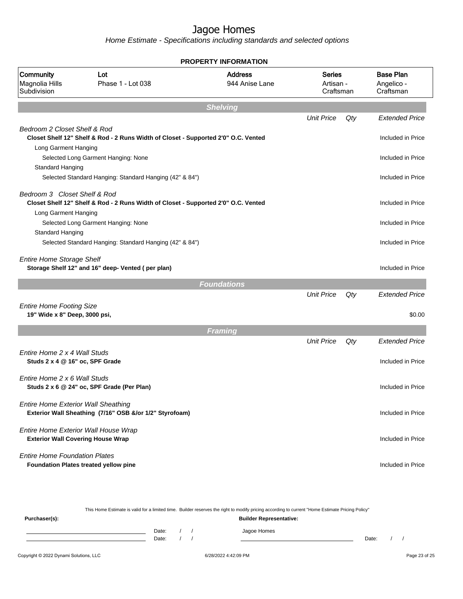| <b>PROPERTY INFORMATION</b>                                      |                                                                                    |                                  |                                         |     |                                             |  |  |  |
|------------------------------------------------------------------|------------------------------------------------------------------------------------|----------------------------------|-----------------------------------------|-----|---------------------------------------------|--|--|--|
| Community<br>Magnolia Hills<br>Subdivision                       | Lot<br>Phase 1 - Lot 038                                                           | <b>Address</b><br>944 Anise Lane | <b>Series</b><br>Artisan -<br>Craftsman |     | <b>Base Plan</b><br>Angelico -<br>Craftsman |  |  |  |
|                                                                  |                                                                                    | <b>Shelving</b>                  |                                         |     |                                             |  |  |  |
|                                                                  |                                                                                    |                                  | <b>Unit Price</b>                       | Qty | <b>Extended Price</b>                       |  |  |  |
| Bedroom 2 Closet Shelf & Rod                                     | Closet Shelf 12" Shelf & Rod - 2 Runs Width of Closet - Supported 2'0" O.C. Vented |                                  |                                         |     | Included in Price                           |  |  |  |
| Long Garment Hanging                                             | Selected Long Garment Hanging: None                                                |                                  |                                         |     | Included in Price                           |  |  |  |
| Standard Hanging                                                 | Selected Standard Hanging: Standard Hanging (42" & 84")                            |                                  |                                         |     | Included in Price                           |  |  |  |
| Bedroom 3 Closet Shelf & Rod                                     | Closet Shelf 12" Shelf & Rod - 2 Runs Width of Closet - Supported 2'0" O.C. Vented |                                  |                                         |     | Included in Price                           |  |  |  |
| Long Garment Hanging<br>Standard Hanging                         | Selected Long Garment Hanging: None                                                |                                  |                                         |     | Included in Price                           |  |  |  |
|                                                                  | Selected Standard Hanging: Standard Hanging (42" & 84")                            |                                  |                                         |     | Included in Price                           |  |  |  |
| <b>Entire Home Storage Shelf</b>                                 | Storage Shelf 12" and 16" deep- Vented (per plan)                                  |                                  |                                         |     | Included in Price                           |  |  |  |
|                                                                  |                                                                                    | <b>Foundations</b>               |                                         |     |                                             |  |  |  |
|                                                                  |                                                                                    |                                  | <b>Unit Price</b>                       | Qty | <b>Extended Price</b>                       |  |  |  |
| <b>Entire Home Footing Size</b><br>19" Wide x 8" Deep, 3000 psi, |                                                                                    |                                  |                                         |     | \$0.00                                      |  |  |  |
|                                                                  |                                                                                    | <b>Framing</b>                   |                                         |     |                                             |  |  |  |
|                                                                  |                                                                                    |                                  | <b>Unit Price</b>                       | Qty | <b>Extended Price</b>                       |  |  |  |
| Entire Home 2 x 4 Wall Studs<br>Studs 2 x 4 @ 16" oc, SPF Grade  |                                                                                    |                                  |                                         |     | Included in Price                           |  |  |  |
| Entire Home 2 x 6 Wall Studs                                     | Studs 2 x 6 @ 24" oc, SPF Grade (Per Plan)                                         |                                  |                                         |     | Included in Price                           |  |  |  |
| <b>Entire Home Exterior Wall Sheathing</b>                       | Exterior Wall Sheathing (7/16" OSB &/or 1/2" Styrofoam)                            |                                  |                                         |     | Included in Price                           |  |  |  |
| <b>Exterior Wall Covering House Wrap</b>                         | Entire Home Exterior Wall House Wrap                                               |                                  |                                         |     | Included in Price                           |  |  |  |
| <b>Entire Home Foundation Plates</b>                             | <b>Foundation Plates treated yellow pine</b>                                       |                                  |                                         |     | Included in Price                           |  |  |  |

|                                        |                |  | This Home Estimate is valid for a limited time. Builder reserves the right to modify pricing according to current "Home Estimate Pricing Policy" |       |  |               |
|----------------------------------------|----------------|--|--------------------------------------------------------------------------------------------------------------------------------------------------|-------|--|---------------|
| Purchaser(s):                          |                |  | <b>Builder Representative:</b>                                                                                                                   |       |  |               |
|                                        | Date:<br>Date: |  | Jagoe Homes                                                                                                                                      | Date: |  |               |
| Copyright © 2022 Dynami Solutions, LLC |                |  | 6/28/2022 4:42:09 PM                                                                                                                             |       |  | Page 23 of 25 |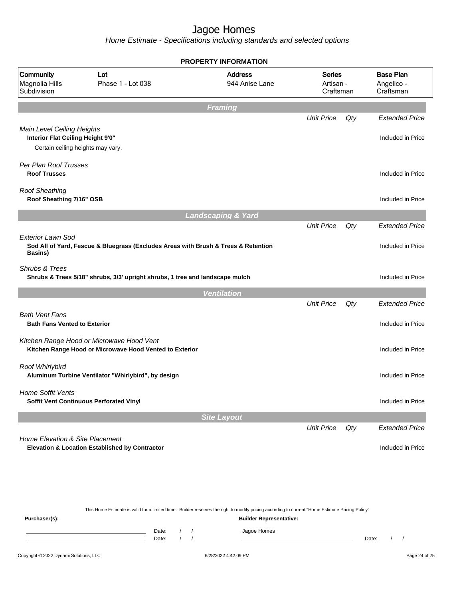Home Estimate - Specifications including standards and selected options

|                                                                                                      |                                                                                                      | <b>PROPERTY INFORMATION</b>      |                                         |     |                                             |
|------------------------------------------------------------------------------------------------------|------------------------------------------------------------------------------------------------------|----------------------------------|-----------------------------------------|-----|---------------------------------------------|
| Community<br>Magnolia Hills<br>Subdivision                                                           | Lot<br>Phase 1 - Lot 038                                                                             | <b>Address</b><br>944 Anise Lane | <b>Series</b><br>Artisan -<br>Craftsman |     | <b>Base Plan</b><br>Angelico -<br>Craftsman |
|                                                                                                      |                                                                                                      | <b>Framing</b>                   |                                         |     |                                             |
|                                                                                                      |                                                                                                      |                                  | <b>Unit Price</b>                       | Qty | <b>Extended Price</b>                       |
| Main Level Ceiling Heights<br>Interior Flat Ceiling Height 9'0"<br>Certain ceiling heights may vary. |                                                                                                      |                                  |                                         |     | Included in Price                           |
| Per Plan Roof Trusses                                                                                |                                                                                                      |                                  |                                         |     |                                             |
| <b>Roof Trusses</b>                                                                                  |                                                                                                      |                                  |                                         |     | Included in Price                           |
| <b>Roof Sheathing</b><br>Roof Sheathing 7/16" OSB                                                    |                                                                                                      |                                  |                                         |     | Included in Price                           |
|                                                                                                      |                                                                                                      | <b>Landscaping &amp; Yard</b>    |                                         |     |                                             |
|                                                                                                      |                                                                                                      |                                  | <b>Unit Price</b>                       | Qty | <b>Extended Price</b>                       |
| Exterior Lawn Sod<br><b>Basins</b> )                                                                 | Sod All of Yard, Fescue & Bluegrass (Excludes Areas with Brush & Trees & Retention                   |                                  |                                         |     | Included in Price                           |
| Shrubs & Trees                                                                                       | Shrubs & Trees 5/18" shrubs, 3/3' upright shrubs, 1 tree and landscape mulch                         |                                  |                                         |     | Included in Price                           |
|                                                                                                      |                                                                                                      | <b>Ventilation</b>               |                                         |     |                                             |
|                                                                                                      |                                                                                                      |                                  | <b>Unit Price</b>                       | Qty | <b>Extended Price</b>                       |
| <b>Bath Vent Fans</b><br><b>Bath Fans Vented to Exterior</b>                                         |                                                                                                      |                                  |                                         |     | Included in Price                           |
|                                                                                                      | Kitchen Range Hood or Microwave Hood Vent<br>Kitchen Range Hood or Microwave Hood Vented to Exterior |                                  |                                         |     | Included in Price                           |
| Roof Whirlybird                                                                                      | Aluminum Turbine Ventilator "Whirlybird", by design                                                  |                                  |                                         |     | Included in Price                           |
| <b>Home Soffit Vents</b><br>Soffit Vent Continuous Perforated Vinyl                                  |                                                                                                      |                                  |                                         |     | Included in Price                           |
|                                                                                                      |                                                                                                      | <b>Site Layout</b>               |                                         |     |                                             |
|                                                                                                      |                                                                                                      |                                  | <b>Unit Price</b>                       | Qty | <b>Extended Price</b>                       |
| Home Elevation & Site Placement                                                                      | Elevation & Location Established by Contractor                                                       |                                  |                                         |     | Included in Price                           |

This Home Estimate is valid for a limited time. Builder reserves the right to modify pricing according to current "Home Estimate Pricing Policy" **Purchaser(s): Builder Representative:** Date: / / Jagoe Homes<br>Date: / / Jagoe Homes Date: / / Date: / /